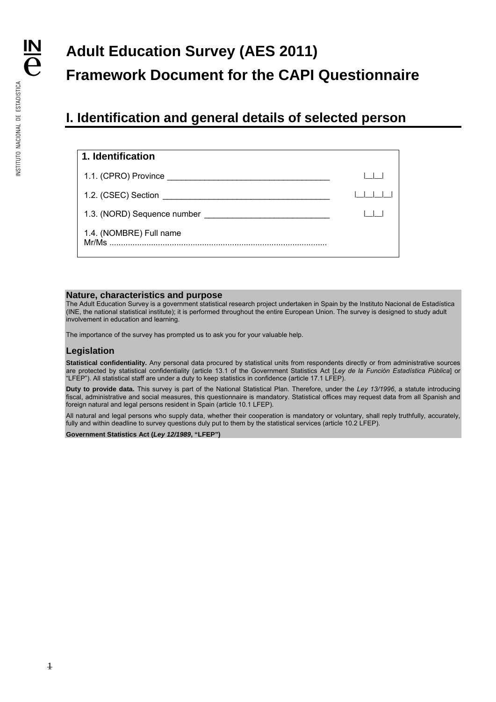# **Adult Education Survey (AES 2011) Framework Document for the CAPI Questionnaire**

### **I. Identification and general details of selected person**

| 1. Identification                                                                                                                                                                                                              |  |
|--------------------------------------------------------------------------------------------------------------------------------------------------------------------------------------------------------------------------------|--|
| 1.1. (CPRO) Province entertainment of the contract of the contract of the contract of the contract of the contract of the contract of the contract of the contract of the contract of the contract of the contract of the cont |  |
| 1.2. (CSEC) Section<br><u> 1980 - Jan Barbara Barat, masa kacamatan ing Kabupatèn Barat, Indonesia.</u>                                                                                                                        |  |
| 1.3. (NORD) Sequence number                                                                                                                                                                                                    |  |
| 1.4. (NOMBRE) Full name<br>Mr/Ms                                                                                                                                                                                               |  |

#### **Nature, characteristics and purpose**

The Adult Education Survey is a government statistical research project undertaken in Spain by the Instituto Nacional de Estadística (INE, the national statistical institute); it is performed throughout the entire European Union. The survey is designed to study adult involvement in education and learning.

The importance of the survey has prompted us to ask you for your valuable help.

#### **Legislation**

**Statistical confidentiality.** Any personal data procured by statistical units from respondents directly or from administrative sources are protected by statistical confidentiality (article 13.1 of the Government Statistics Act [*Ley de la Función Estadística Pública*] or "LFEP"). All statistical staff are under a duty to keep statistics in confidence (article 17.1 LFEP).

**Duty to provide data.** This survey is part of the National Statistical Plan. Therefore, under the *Ley 13/1996*, a statute introducing fiscal, administrative and social measures, this questionnaire is mandatory. Statistical offices may request data from all Spanish and foreign natural and legal persons resident in Spain (article 10.1 LFEP).

All natural and legal persons who supply data, whether their cooperation is mandatory or voluntary, shall reply truthfully, accurately, fully and within deadline to survey questions duly put to them by the statistical services (article 10.2 LFEP).

**Government Statistics Act (***Ley 12/1989***, "LFEP")**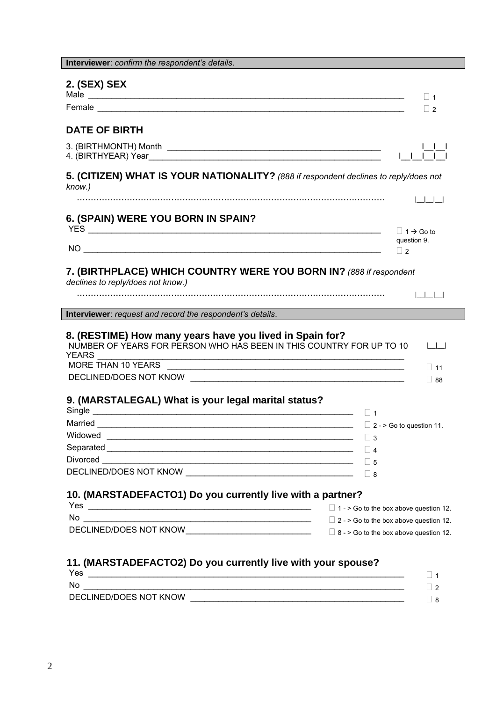| 2. (SEX) SEX                                                                                            |                                 |
|---------------------------------------------------------------------------------------------------------|---------------------------------|
|                                                                                                         |                                 |
|                                                                                                         | $\Box$ 1                        |
|                                                                                                         | $\Box$ 2                        |
| <b>DATE OF BIRTH</b>                                                                                    |                                 |
| 3. (BIRTHMONTH) Month                                                                                   |                                 |
| 5. (CITIZEN) WHAT IS YOUR NATIONALITY? (888 if respondent declines to reply/does not<br>know.)          |                                 |
|                                                                                                         | الطاحات                         |
| 6. (SPAIN) WERE YOU BORN IN SPAIN?                                                                      |                                 |
|                                                                                                         | $\Box$ 1 $\rightarrow$ Go to    |
|                                                                                                         | question 9.<br>$\Box$ 2         |
|                                                                                                         |                                 |
| 7. (BIRTHPLACE) WHICH COUNTRY WERE YOU BORN IN? (888 if respondent<br>declines to reply/does not know.) |                                 |
|                                                                                                         |                                 |
|                                                                                                         |                                 |
| Interviewer: request and record the respondent's details.                                               |                                 |
| 8. (RESTIME) How many years have you lived in Spain for?                                                |                                 |
| NUMBER OF YEARS FOR PERSON WHO HAS BEEN IN THIS COUNTRY FOR UP TO 10                                    | اساسا                           |
| YEARS.<br><u> 1989 - Johann Barbara, margaret eta idazlearia (h. 1989).</u><br>MORE THAN 10 YEARS       |                                 |
|                                                                                                         | $\Box$ 11                       |
|                                                                                                         | $\Box$ 88                       |
| 9. (MARSTALEGAL) What is your legal marital status?                                                     |                                 |
|                                                                                                         | $\vert \vert$ 1                 |
| Married                                                                                                 | $\Box$ 2 - > Go to question 11. |
|                                                                                                         | $\Box$ 3                        |
|                                                                                                         | $\vert$   4                     |
|                                                                                                         |                                 |
|                                                                                                         |                                 |
|                                                                                                         |                                 |
|                                                                                                         |                                 |
| 10. (MARSTADEFACTO1) Do you currently live with a partner?                                              |                                 |
| Yes $\Box$ 1 - > Go to the box above question 12.                                                       |                                 |
| No $\overline{\phantom{a}}$ 2 -> Go to the box above question 12.                                       |                                 |
|                                                                                                         |                                 |
|                                                                                                         |                                 |

| INC.                   |  |
|------------------------|--|
| DECLINED/DOES NOT KNOW |  |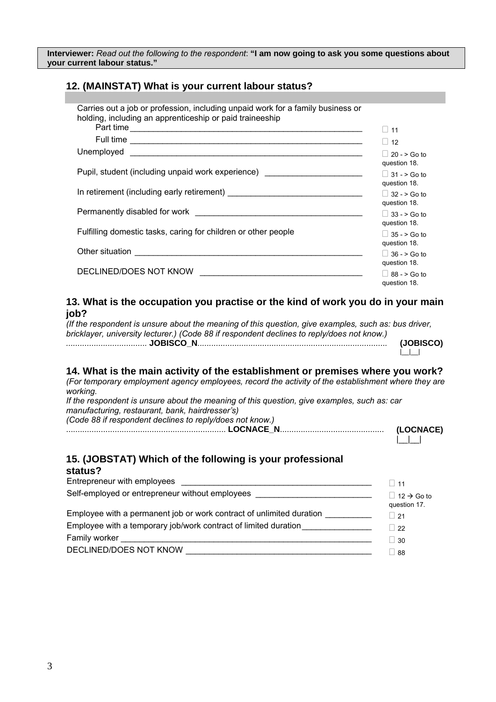**Interviewer:** *Read out the following to the respondent*: **"I am now going to ask you some questions about your current labour status."** 

### **12. (MAINSTAT) What is your current labour status?**

| Carries out a job or profession, including unpaid work for a family business or<br>holding, including an apprenticeship or paid traineeship |                                  |
|---------------------------------------------------------------------------------------------------------------------------------------------|----------------------------------|
| Part time                                                                                                                                   | $\sqcup$ 11                      |
|                                                                                                                                             | 12<br>$\Box$                     |
|                                                                                                                                             | $\vert$ 20 - > Go to             |
|                                                                                                                                             | question 18.                     |
| Pupil, student (including unpaid work experience) ______________________________                                                            | $ $ 31 - > Go to<br>question 18. |
|                                                                                                                                             | $ $ 32 - > Go to                 |
|                                                                                                                                             | question 18.                     |
|                                                                                                                                             | $ $ 33 - > Go to                 |
|                                                                                                                                             | question 18.                     |
| Fulfilling domestic tasks, caring for children or other people                                                                              | $\vert$ 35 - > Go to             |
|                                                                                                                                             | question 18.                     |
|                                                                                                                                             | $ $ 36 - > Go to<br>question 18. |
| DECLINED/DOES NOT KNOW                                                                                                                      |                                  |
|                                                                                                                                             | $ $ 88 - > Go to<br>question 18. |

### **13. What is the occupation you practise or the kind of work you do in your main job?**

| (If the respondent is unsure about the meaning of this question, give examples, such as: bus driver, |           |
|------------------------------------------------------------------------------------------------------|-----------|
| bricklayer, university lecturer.) (Code 88 if respondent declines to reply/does not know.)           |           |
|                                                                                                      | (JOBISCO) |
|                                                                                                      |           |

#### **14. What is the main activity of the establishment or premises where you work?**

*(For temporary employment agency employees, record the activity of the establishment where they are working.* 

*If the respondent is unsure about the meaning of this question, give examples, such as: car manufacturing, restaurant, bank, hairdresser's) (Code 88 if respondent declines to reply/does not know.)* ..................................................................... **LOCNACE\_N**............................................. **(LOCNACE)** 

 $\perp$ 

#### **15. (JOBSTAT) Which of the following is your professional status?**

|                                                                                  | $\vert$ 11                                     |
|----------------------------------------------------------------------------------|------------------------------------------------|
| Self-employed or entrepreneur without employees ________________________________ | $\vert$ 12 $\rightarrow$ Go to<br>question 17. |
| Employee with a permanent job or work contract of unlimited duration             | 21                                             |
| Employee with a temporary job/work contract of limited duration                  | 22                                             |
| Family worker                                                                    | 30                                             |
| DECLINED/DOES NOT KNOW                                                           | -88                                            |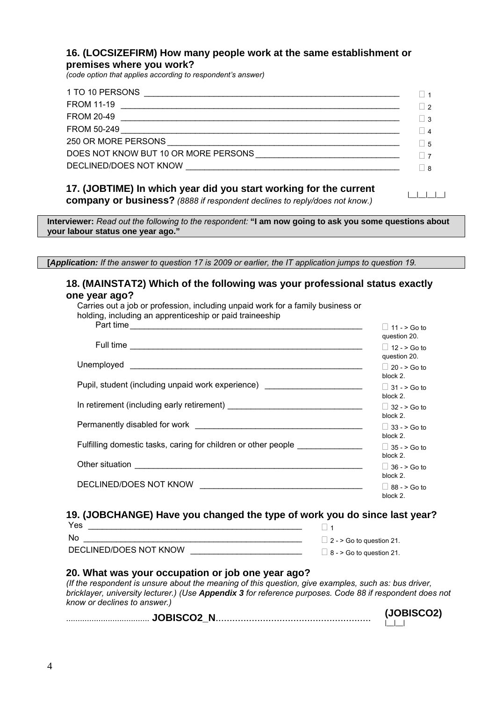### **16. (LOCSIZEFIRM) How many people work at the same establishment or premises where you work?**

*(code option that applies according to respondent's answer)* 

| 1 TO 10 PERSONS    |                |
|--------------------|----------------|
| <b>FROM 11-19</b>  | $\vert$ 2      |
| <b>FROM 20-49</b>  | $\vert$ 3      |
| <b>FROM 50-249</b> | $\vert$ 4      |
|                    | $\overline{5}$ |
|                    |                |
|                    | -8             |
|                    |                |

#### **17. (JOBTIME) In which year did you start working for the current company or business?** *(8888 if respondent declines to reply/does not know.)* |\_\_|\_\_|\_\_|\_\_|

**Interviewer:** *Read out the following to the respondent:* **"I am now going to ask you some questions about your labour status one year ago."** 

**[***Application: If the answer to question 17 is 2009 or earlier, the IT application jumps to question 19.*

### **18. (MAINSTAT2) Which of the following was your professional status exactly one year ago?**

| Carries out a job or profession, including unpaid work for a family business or<br>holding, including an apprenticeship or paid traineeship |                                          |
|---------------------------------------------------------------------------------------------------------------------------------------------|------------------------------------------|
| Part time                                                                                                                                   | $\vert$ 11 - > Go to<br>question 20.     |
|                                                                                                                                             | $\vert$ 12 - > Go to<br>question 20.     |
|                                                                                                                                             | $\Box$ 20 - > Go to                      |
| Pupil, student (including unpaid work experience) ________________________                                                                  | block 2.<br>$ $ 31 - > Go to<br>block 2. |
|                                                                                                                                             | $\vert$ 32 - > Go to<br>block 2.         |
|                                                                                                                                             | $\Box$ 33 - > Go to<br>block 2.          |
| Fulfilling domestic tasks, caring for children or other people _________________                                                            | $\Box$ 35 - > Go to<br>block 2.          |
|                                                                                                                                             | $\vert$ 36 - > Go to<br>block 2.         |
|                                                                                                                                             | $ $ 88 - > Go to<br>block 2.             |

### **19. (JOBCHANGE) Have you changed the type of work you do since last year?**

| Yes                    |                                 |
|------------------------|---------------------------------|
| No.                    | $\Box$ 2 - > Go to question 21. |
| DECLINED/DOES NOT KNOW | $\Box$ 8 - > Go to question 21. |

### **20. What was your occupation or job one year ago?**

*(If the respondent is unsure about the meaning of this question, give examples, such as: bus driver, bricklayer, university lecturer.) (Use Appendix 3 for reference purposes. Code 88 if respondent does not know or declines to answer.)*

.................................... **JOBISCO2\_N**........................................................ **(JOBISCO2)**   $|_{-}$   $|_{-}$   $|_{-}$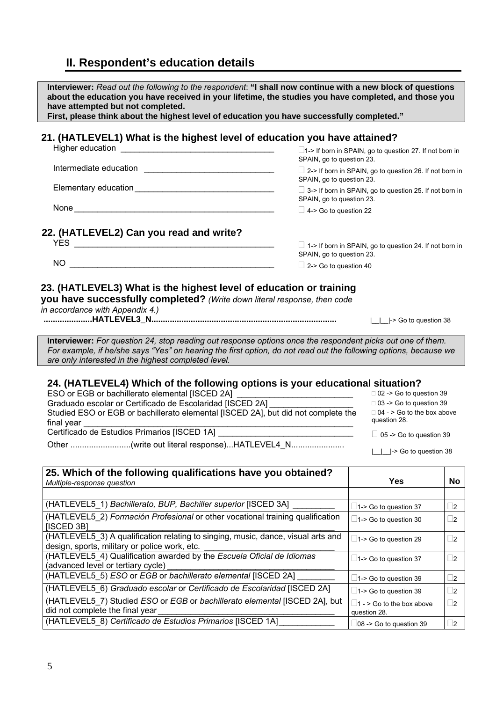## **II. Respondent's education details**

| Interviewer: Read out the following to the respondent: "I shall now continue with a new block of questions<br>about the education you have received in your lifetime, the studies you have completed, and those you<br>have attempted but not completed.<br>First, please think about the highest level of education you have successfully completed."                                            |                                                                                                                                                                                                                |                       |
|---------------------------------------------------------------------------------------------------------------------------------------------------------------------------------------------------------------------------------------------------------------------------------------------------------------------------------------------------------------------------------------------------|----------------------------------------------------------------------------------------------------------------------------------------------------------------------------------------------------------------|-----------------------|
| 21. (HATLEVEL1) What is the highest level of education you have attained?                                                                                                                                                                                                                                                                                                                         | $\Box$ 1-> If born in SPAIN, go to question 27. If not born in                                                                                                                                                 |                       |
| SPAIN, go to question 23.<br>SPAIN, go to question 23.                                                                                                                                                                                                                                                                                                                                            | □ 2-> If born in SPAIN, go to question 26. If not born in                                                                                                                                                      |                       |
| Elementary education<br><u>Elementary</u> education<br>SPAIN, go to question 23.                                                                                                                                                                                                                                                                                                                  | $\Box$ 3-> If born in SPAIN, go to question 25. If not born in                                                                                                                                                 |                       |
| $\Box$ 4-> Go to question 22                                                                                                                                                                                                                                                                                                                                                                      |                                                                                                                                                                                                                |                       |
| 22. (HATLEVEL2) Can you read and write?<br>SPAIN, go to question 23.<br>$\Box$ 2-> Go to question 40                                                                                                                                                                                                                                                                                              | $\Box$ 1-> If born in SPAIN, go to question 24. If not born in                                                                                                                                                 |                       |
| 23. (HATLEVEL3) What is the highest level of education or training<br>you have successfully completed? (Write down literal response, then code<br>in accordance with Appendix 4.)                                                                                                                                                                                                                 | _ _ -> Go to question 38                                                                                                                                                                                       |                       |
| Interviewer: For question 24, stop reading out response options once the respondent picks out one of them.<br>For example, if he/she says "Yes" on hearing the first option, do not read out the following options, because we<br>are only interested in the highest completed level.                                                                                                             |                                                                                                                                                                                                                |                       |
| 24. (HATLEVEL4) Which of the following options is your educational situation?<br>ESO or EGB or bachillerato elemental [ISCED 2A]<br>Graduado escolar or Certificado de Escolaridad [ISCED 2A]<br>Studied ESO or EGB or bachillerato elemental [ISCED 2A], but did not complete the<br>final year<br>Certificado de Estudios Primarios [ISCED 1A]<br>Other (write out literal response)HATLEVEL4_N | □ 02 -> Go to question 39<br>$\Box$ 03 -> Go to question 39<br>$\Box$ 04 - > Go to the box above<br>question 28.<br>$\Box$ 05 -> Go to question 39<br>$\lfloor \underline{\quad} \rfloor$ -> Go to question 38 |                       |
| 25. Which of the following qualifications have you obtained?<br>Multiple-response question                                                                                                                                                                                                                                                                                                        | <b>Yes</b>                                                                                                                                                                                                     | No                    |
| (HATLEVEL5_1) Bachillerato, BUP, Bachiller superior [ISCED 3A]                                                                                                                                                                                                                                                                                                                                    |                                                                                                                                                                                                                |                       |
| (HATLEVEL5 2) Formación Profesional or other vocational training qualification                                                                                                                                                                                                                                                                                                                    | $\Box$ 1-> Go to question 37<br>$\Box$ 1-> Go to question 30                                                                                                                                                   | $\square$<br>$\Box$ 2 |
| [ISCED 3B]<br>(HATLEVEL5_3) A qualification relating to singing, music, dance, visual arts and                                                                                                                                                                                                                                                                                                    | $\Box$ 1-> Go to question 29                                                                                                                                                                                   | $\Box$ 2              |
| design, sports, military or police work, etc.<br>(HATLEVEL5 4) Qualification awarded by the Escuela Oficial de Idiomas                                                                                                                                                                                                                                                                            | $\Box$ 1-> Go to question 37                                                                                                                                                                                   | $\Box$ 2              |
| (advanced level or tertiary cycle)<br>(HATLEVEL5 5) ESO or EGB or bachillerato elemental [ISCED 2A]                                                                                                                                                                                                                                                                                               | $\Box$ 1-> Go to question 39                                                                                                                                                                                   | $\Box$ 2              |
| (HATLEVEL5 6) Graduado escolar or Certificado de Escolaridad [ISCED 2A]                                                                                                                                                                                                                                                                                                                           | $\Box$ 1-> Go to question 39                                                                                                                                                                                   | $\Box$ 2              |
| (HATLEVEL5_7) Studied ESO or EGB or bachillerato elemental [ISCED 2A], but<br>did not complete the final year                                                                                                                                                                                                                                                                                     | $\Box$ 1 - > Go to the box above<br>question 28.                                                                                                                                                               | $\sqcup$ 2            |
| (HATLEVEL5_8) Certificado de Estudios Primarios [ISCED 1A]                                                                                                                                                                                                                                                                                                                                        | $\Box$ 08 -> Go to question 39                                                                                                                                                                                 | $\square$             |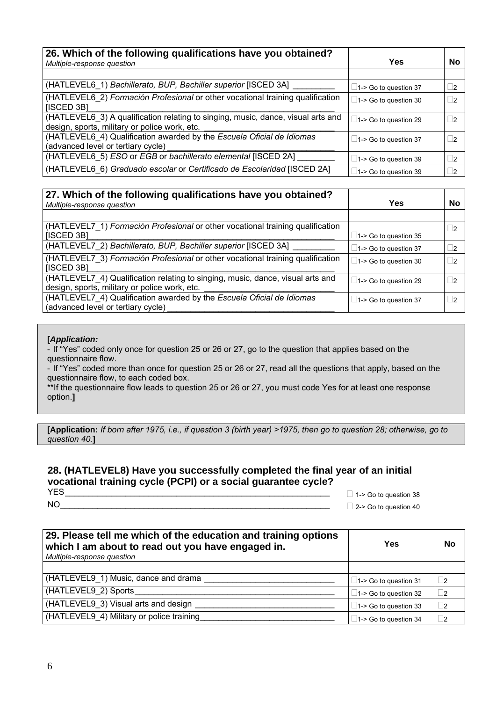| 26. Which of the following qualifications have you obtained?<br>Multiple-response question                                        | Yes                          | <b>No</b>  |
|-----------------------------------------------------------------------------------------------------------------------------------|------------------------------|------------|
|                                                                                                                                   |                              |            |
| (HATLEVEL6_1) Bachillerato, BUP, Bachiller superior [ISCED 3A]                                                                    | $\Box$ 1-> Go to question 37 | $\sqcup$ 2 |
| (HATLEVEL6 2) Formación Profesional or other vocational training qualification<br>[ISCED 3B]                                      | $\Box$ 1-> Go to question 30 | 2          |
| (HATLEVEL6 3) A qualification relating to singing, music, dance, visual arts and<br>design, sports, military or police work, etc. | $\Box$ 1-> Go to question 29 | 2          |
| (HATLEVEL6 4) Qualification awarded by the Escuela Oficial de Idiomas<br>(advanced level or tertiary cycle)                       | $\Box$ 1-> Go to question 37 | 2          |
| (HATLEVEL6 5) ESO or EGB or bachillerato elemental [ISCED 2A]                                                                     | $\Box$ 1-> Go to question 39 | 2          |
| (HATLEVEL6 6) Graduado escolar or Certificado de Escolaridad [ISCED 2A]                                                           | $\Box$ 1-> Go to question 39 | $\vert$ 2  |

| 27. Which of the following qualifications have you obtained?<br>Multiple-response question                                      | Yes                          | No         |
|---------------------------------------------------------------------------------------------------------------------------------|------------------------------|------------|
|                                                                                                                                 |                              |            |
| (HATLEVEL7_1) Formación Profesional or other vocational training qualification<br>  [ISCED 3B]                                  | $\Box$ 1-> Go to question 35 | $\sqcup$ 2 |
| (HATLEVEL7 2) Bachillerato, BUP, Bachiller superior [ISCED 3A]                                                                  | $\Box$ 1-> Go to question 37 | $\sqcup$ 2 |
| (HATLEVEL7 3) Formación Profesional or other vocational training qualification<br>  [ISCED 3B]                                  | $\Box$ 1-> Go to question 30 | $\sqcup$ 2 |
| (HATLEVEL7 4) Qualification relating to singing, music, dance, visual arts and<br>design, sports, military or police work, etc. | $\Box$ 1-> Go to question 29 | $\Box$ 2   |
| (HATLEVEL7_4) Qualification awarded by the Escuela Oficial de Idiomas<br>(advanced level or tertiary cycle)                     | $\Box$ 1-> Go to question 37 | $\vert$    |

- If "Yes" coded only once for question 25 or 26 or 27, go to the question that applies based on the questionnaire flow.

- If "Yes" coded more than once for question 25 or 26 or 27, read all the questions that apply, based on the questionnaire flow, to each coded box.

\*\*If the questionnaire flow leads to question 25 or 26 or 27, you must code Yes for at least one response option.**]**

**[Application:** *If born after 1975, i.e., if question 3 (birth year) >1975, then go to question 28; otherwise, go to question 40.***]** 

### **28. (HATLEVEL8) Have you successfully completed the final year of an initial vocational training cycle (PCPI) or a social guarantee cycle?**

 $\Box$  1-> Go to question 38

NO\_\_\_\_\_\_\_\_\_\_\_\_\_\_\_\_\_\_\_\_\_\_\_\_\_\_\_\_\_\_\_\_\_\_\_\_\_\_\_\_\_\_\_\_\_\_\_\_\_\_\_\_\_\_\_\_\_\_ 2-> Go to question 40

| 29. Please tell me which of the education and training options<br>which I am about to read out you have engaged in.<br>Multiple-response question | Yes                          | No        |
|---------------------------------------------------------------------------------------------------------------------------------------------------|------------------------------|-----------|
|                                                                                                                                                   |                              |           |
| (HATLEVEL9 1) Music, dance and drama                                                                                                              | $\Box$ 1-> Go to question 31 | $\Box$ 2  |
| (HATLEVEL9 2) Sports                                                                                                                              | $\Box$ 1-> Go to question 32 | $\square$ |
| (HATLEVEL9 3) Visual arts and design                                                                                                              | $\Box$ 1-> Go to question 33 | $\square$ |
| (HATLEVEL9 4) Military or police training                                                                                                         | $\Box$ 1-> Go to question 34 | . 2       |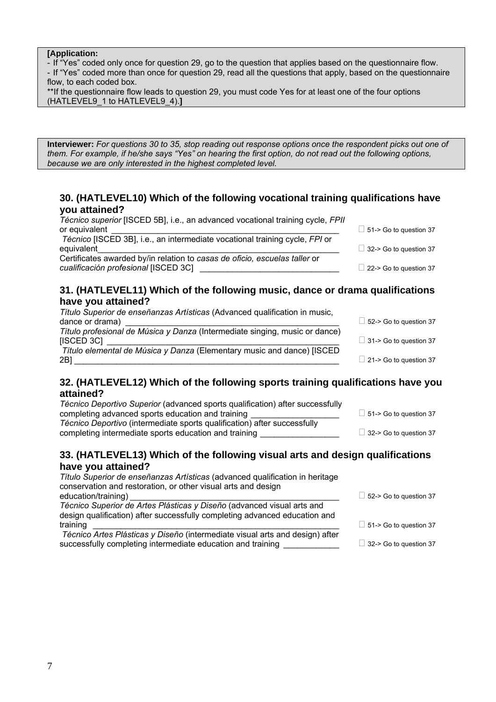- If "Yes" coded only once for question 29, go to the question that applies based on the questionnaire flow.

- If "Yes" coded more than once for question 29, read all the questions that apply, based on the questionnaire flow, to each coded box.

| **If the questionnaire flow leads to question 29, you must code Yes for at least one of the four options |  |  |
|----------------------------------------------------------------------------------------------------------|--|--|
| (HATLEVEL9 1 to HATLEVEL9 4).]                                                                           |  |  |

**Interviewer:** *For questions 30 to 35, stop reading out response options once the respondent picks out one of them. For example, if he/she says "Yes" on hearing the first option, do not read out the following options, because we are only interested in the highest completed level.*

### **30. (HATLEVEL10) Which of the following vocational training qualifications have you attained?**

| Técnico superior [ISCED 5B], i.e., an advanced vocational training cycle, FPII |                               |
|--------------------------------------------------------------------------------|-------------------------------|
| or equivalent                                                                  | $\Box$ 51-> Go to question 37 |
| Técnico [ISCED 3B], i.e., an intermediate vocational training cycle, FPI or    |                               |
| equivalent                                                                     | $\Box$ 32-> Go to question 37 |
| Certificates awarded by/in relation to casas de oficio, escuelas taller or     |                               |
| cualificación profesional [ISCED 3C]                                           | $\Box$ 22-> Go to question 37 |

### **31. (HATLEVEL11) Which of the following music, dance or drama qualifications have you attained?**

| Título Superior de enseñanzas Artísticas (Advanced qualification in music,  |                               |
|-----------------------------------------------------------------------------|-------------------------------|
| dance or drama)                                                             | $\Box$ 52-> Go to question 37 |
| Título profesional de Música y Danza (Intermediate singing, music or dance) |                               |
| [ISCED 3C]                                                                  | $\Box$ 31-> Go to question 37 |
| Título elemental de Música y Danza (Elementary music and dance) [ISCED      |                               |
| 2B1                                                                         | $\Box$ 21-> Go to question 37 |
|                                                                             |                               |

### **32. (HATLEVEL12) Which of the following sports training qualifications have you attained?**

| <i>Técnico Deportivo Superior</i> (advanced sports qualification) after successfully |                               |
|--------------------------------------------------------------------------------------|-------------------------------|
| completing advanced sports education and training                                    | $\Box$ 51-> Go to question 37 |
| Técnico Deportivo (intermediate sports qualification) after successfully             |                               |
| completing intermediate sports education and training                                | $\Box$ 32-> Go to question 37 |
|                                                                                      |                               |

### **33. (HATLEVEL13) Which of the following visual arts and design qualifications have you attained?**

*Título Superior de enseñanzas Artísticas* (advanced qualification in heritage conservation and restoration, or other visual arts and design education/training)  $\Box$  52-> Go to question 37 *Técnico Superior de Artes Plásticas y Diseño* (advanced visual arts and design qualification) after successfully completing advanced education and training  $\Box$  51-> Go to question 37 *Técnico Artes Plásticas y Diseño* (intermediate visual arts and design) after successfully completing intermediate education and training  $\Box$  32-> Go to question 37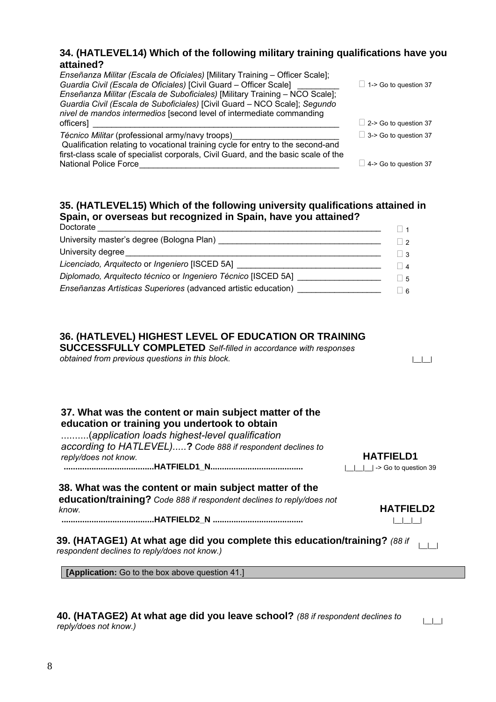### **34. (HATLEVEL14) Which of the following military training qualifications have you attained?**

| Enseñanza Militar (Escala de Oficiales) [Military Training - Officer Scale];<br>Guardia Civil (Escala de Oficiales) [Civil Guard - Officer Scale]<br>Enseñanza Militar (Escala de Suboficiales) [Military Training - NCO Scale];<br>Guardia Civil (Escala de Suboficiales) [Civil Guard - NCO Scale]; Segundo<br>nivel de mandos intermedios [second level of intermediate commanding | $\Box$ 1-> Go to question 37 |
|---------------------------------------------------------------------------------------------------------------------------------------------------------------------------------------------------------------------------------------------------------------------------------------------------------------------------------------------------------------------------------------|------------------------------|
| officers]                                                                                                                                                                                                                                                                                                                                                                             | $\Box$ 2-> Go to question 37 |
| Técnico Militar (professional army/navy troops)<br>Qualification relating to vocational training cycle for entry to the second-and<br>first-class scale of specialist corporals, Civil Guard, and the basic scale of the                                                                                                                                                              | $\Box$ 3-> Go to question 37 |
| <b>National Police Force</b>                                                                                                                                                                                                                                                                                                                                                          | $\Box$ 4-> Go to question 37 |

### **35. (HATLEVEL15) Which of the following university qualifications attained in Spain, or overseas but recognized in Spain, have you attained?**

| Doctorate                                                                        |           |
|----------------------------------------------------------------------------------|-----------|
|                                                                                  |           |
| University degree                                                                |           |
| Licenciado, Arquitecto or Ingeniero [ISCED 5A] _________________________________ |           |
| Diplomado, Arquitecto técnico or Ingeniero Técnico [ISCED 5A]                    | $\vert$ 5 |
| Enseñanzas Artísticas Superiores (advanced artistic education)                   |           |

### **36. (HATLEVEL) HIGHEST LEVEL OF EDUCATION OR TRAINING**

**SUCCESSFULLY COMPLETED** *Self-filled in accordance with responses obtained from previous questions in this block.*  $\Box$ 

### **37. What was the content or main subject matter of the education or training you undertook to obtain**

..........(*application loads highest-level qualification according to HATLEVEL).....***?** *Code 888 if respondent declines to reply/does not know.* **HATFIELD1 .......................................HATFIELD1\_N........................................** |\_\_|\_\_|\_\_| -> Go to question 39

### **38. What was the content or main subject matter of the education/training?** *Code 888 if respondent declines to reply/does not know.* **HATFIELD2**

**........................................HATFIELD2\_N .......................................** |\_\_|\_\_|\_\_|

**39. (HATAGE1) At what age did you complete this education/training?** (88 if  $\Box$ 

**[Application:** Go to the box above question 41.]

## **40. (HATAGE2) At what age did you leave school?** (88 if respondent declines to  $\Box$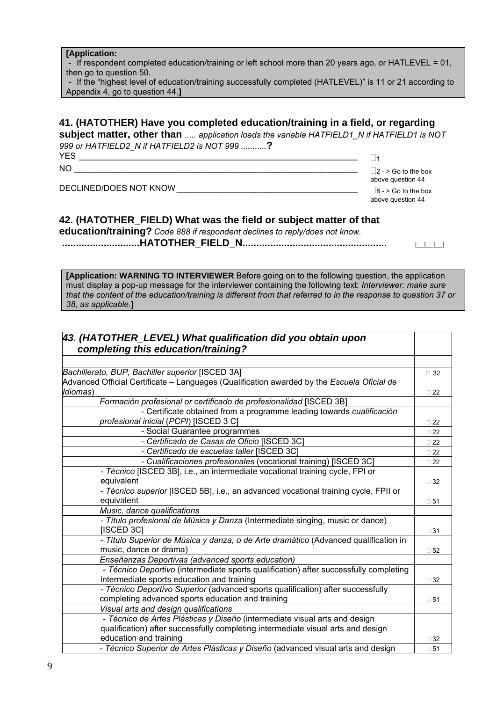- If respondent completed education/training or left school more than 20 years ago, or HATLEVEL = 01, then go to question 50.

| - If the "highest level of education/training successfully completed (HATLEVEL)" is 11 or 21 according to |  |
|-----------------------------------------------------------------------------------------------------------|--|
| Appendix 4, go to question 44.]                                                                           |  |

### **41. (HATOTHER) Have you completed education/training in a field, or regarding**

**subject matter, other than** *..... application loads the variable HATFIELD1\_N if HATFIELD1 is NOT 999 or HATFIELD2\_N if HATFIELD2 is NOT 999 ...........***?** YES \_\_\_\_\_\_\_\_\_\_\_\_\_\_\_\_\_\_\_\_\_\_\_\_\_\_\_\_\_\_\_\_\_\_\_\_\_\_\_\_\_\_\_\_\_\_\_\_\_\_\_\_\_\_\_\_\_\_\_\_ <sup>1</sup>

above question 44

above question 44

| 200 |
|-----|

NO \_\_\_\_\_\_\_\_\_\_\_\_\_\_\_\_\_\_\_\_\_\_\_\_\_\_\_\_\_\_\_\_\_\_\_\_\_\_\_\_\_\_\_\_\_\_\_\_\_\_\_\_\_\_\_\_\_\_\_\_\_ 2 - > Go to the box

DECLINED/DOES NOT KNOW \_\_\_\_\_\_\_\_\_\_\_\_\_\_\_\_\_\_\_\_\_\_\_\_\_\_\_\_\_\_\_\_\_\_\_\_\_\_\_ 8 - > Go to the box

### **42. (HATOTHER\_FIELD) What was the field or subject matter of that**

**education/training?** *Code 888 if respondent declines to reply/does not know.*   **............................HATOTHER\_FIELD\_N....................................................** |\_\_|\_\_|\_\_|

**[Application: WARNING TO INTERVIEWER** Before going on to the following question, the application must display a pop-up message for the interviewer containing the following text: *Interviewer: make sure that the content of the education/training is different from that referred to in the response to question 37 or 38, as applicable.***]**

| 43. (HATOTHER_LEVEL) What qualification did you obtain upon                                |              |
|--------------------------------------------------------------------------------------------|--------------|
| completing this education/training?                                                        |              |
|                                                                                            |              |
| Bachillerato, BUP, Bachiller superior [ISCED 3A]                                           | $\Box$ 32    |
| Advanced Official Certificate - Languages (Qualification awarded by the Escuela Oficial de |              |
| Idiomas)                                                                                   | $\square$ 22 |
| Formación profesional or certificado de profesionalidad [ISCED 3B]                         |              |
| - Certificate obtained from a programme leading towards cualificación                      |              |
| profesional inicial (PCPI) [ISCED 3 C]                                                     | $\Box$ 22    |
| - Social Guarantee programmes                                                              | $\square$ 22 |
| - Certificado de Casas de Oficio [ISCED 3C]                                                | $\square$ 22 |
| - Certificado de escuelas taller [ISCED 3C]                                                | $\square$ 22 |
| - Cualificaciones profesionales (vocational training) [ISCED 3C]                           | $\square$ 22 |
| - Técnico [ISCED 3B], i.e., an intermediate vocational training cycle, FPI or              |              |
| equivalent                                                                                 | $\Box$ 32    |
| - Técnico superior [ISCED 5B], i.e., an advanced vocational training cycle, FPII or        |              |
| equivalent                                                                                 | $\square$ 51 |
| Music, dance qualifications                                                                |              |
| - Título profesional de Música y Danza (Intermediate singing, music or dance)              |              |
| [ISCED 3C]                                                                                 | $\Box$ 31    |
| - Título Superior de Música y danza, o de Arte dramático (Advanced qualification in        |              |
| music, dance or drama)                                                                     | $\square$ 52 |
| Enseñanzas Deportivas (advanced sports education)                                          |              |
| - Técnico Deportivo (intermediate sports qualification) after successfully completing      |              |
| intermediate sports education and training                                                 | $\Box$ 32    |
| - Técnico Deportivo Superior (advanced sports qualification) after successfully            |              |
| completing advanced sports education and training                                          | $\square$ 51 |
| Visual arts and design qualifications                                                      |              |
| - Técnico de Artes Plásticas y Diseño (intermediate visual arts and design                 |              |
| qualification) after successfully completing intermediate visual arts and design           |              |
| education and training                                                                     | $\sqcap$ 32  |
| - Técnico Superior de Artes Plásticas y Diseño (advanced visual arts and design            | $\square$ 51 |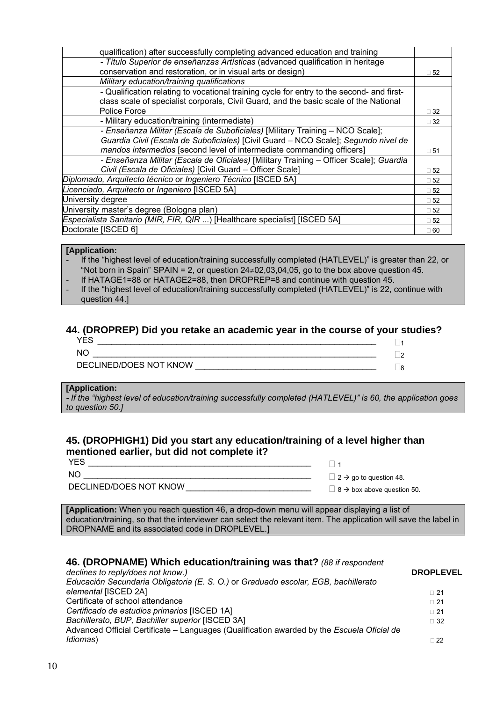| qualification) after successfully completing advanced education and training              |              |
|-------------------------------------------------------------------------------------------|--------------|
| - Título Superior de enseñanzas Artísticas (advanced qualification in heritage            |              |
| conservation and restoration, or in visual arts or design)                                | $\square$ 52 |
| Military education/training qualifications                                                |              |
| - Qualification relating to vocational training cycle for entry to the second- and first- |              |
| class scale of specialist corporals, Civil Guard, and the basic scale of the National     |              |
| Police Force                                                                              | $\Box$ 32    |
| - Military education/training (intermediate)                                              | $\Box$ 32    |
| - Enseñanza Militar (Escala de Suboficiales) [Military Training - NCO Scale];             |              |
| Guardia Civil (Escala de Suboficiales) [Civil Guard - NCO Scale]; Segundo nivel de        |              |
| mandos intermedios [second level of intermediate commanding officers]                     | $\square$ 51 |
| - Enseñanza Militar (Escala de Oficiales) [Military Training - Officer Scale]; Guardia    |              |
| Civil (Escala de Oficiales) [Civil Guard - Officer Scale]                                 | $\square$ 52 |
| Diplomado, Arquitecto técnico or Ingeniero Técnico [ISCED 5A]                             | $\square$ 52 |
| Licenciado, Arquitecto or Ingeniero [ISCED 5A]                                            | $\square$ 52 |
| University degree                                                                         | $\square$ 52 |
| University master's degree (Bologna plan)                                                 | $\square$ 52 |
| Especialista Sanitario (MIR, FIR, QIR ) [Healthcare specialist] [ISCED 5A]                | $\square$ 52 |
| Doctorate [ISCED 6]                                                                       | $\Box$ 60    |

- If the "highest level of education/training successfully completed (HATLEVEL)" is greater than 22, or "Not born in Spain" SPAIN = 2, or question  $24\neq 02,03,04,05$ , go to the box above question 45.

- If HATAGE1=88 or HATAGE2=88, then DROPREP=8 and continue with question 45.
- If the "highest level of education/training successfully completed (HATLEVEL)" is 22, continue with question 44.]

### **44. (DROPREP) Did you retake an academic year in the course of your studies?**

| NC                     |  |
|------------------------|--|
| DECLINED/DOES NOT KNOW |  |

#### **[Application:**

*- If the "highest level of education/training successfully completed (HATLEVEL)" is 60, the application goes to question 50.]* 

### **45. (DROPHIGH1) Did you start any education/training of a level higher than mentioned earlier, but did not complete it?**

| DECLINED/DOES NOT KNOW | __ |
|------------------------|----|

 $\Box$  2  $\rightarrow$  go to question 48.

DECLINED/DOES NOT KNOW \_\_\_\_\_\_\_\_\_\_\_\_\_\_\_\_\_\_\_\_\_\_\_\_\_\_\_ <sup>8</sup>Æ box above question 50.

**[Application:** When you reach question 46, a drop-down menu will appear displaying a list of education/training, so that the interviewer can select the relevant item. The application will save the label in DROPNAME and its associated code in DROPLEVEL.**]**

### **46. (DROPNAME) Which education/training was that?** *(88 if respondent*

| <b>DROPLEVEL</b> |
|------------------|
| $\Box$ 21        |
| $\Box$ 21        |
| $\Box$ 21        |
| $\Box$ 32        |
|                  |
| $\Box$ 22        |
|                  |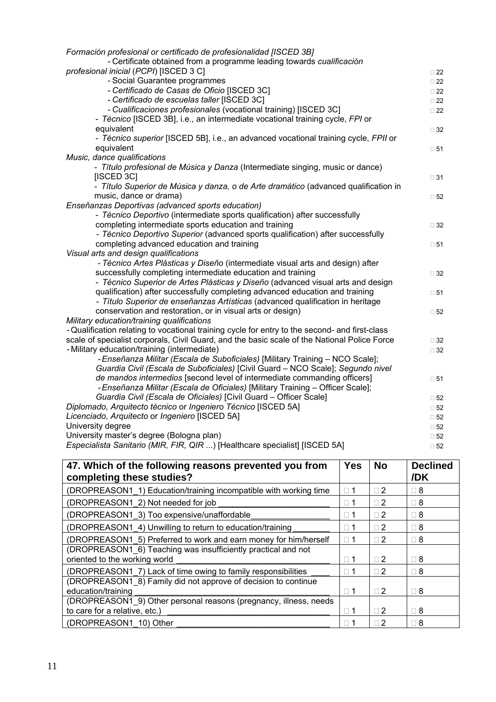| Formación profesional or certificado de profesionalidad [ISCED 3B]                             |              |
|------------------------------------------------------------------------------------------------|--------------|
| - Certificate obtained from a programme leading towards cualificación                          |              |
| profesional inicial (PCPI) [ISCED 3 C]                                                         | $\Box$ 22    |
| - Social Guarantee programmes                                                                  | $\square$ 22 |
| - Certificado de Casas de Oficio [ISCED 3C]                                                    | $\Box$ 22    |
| - Certificado de escuelas taller [ISCED 3C]                                                    | $\Box$ 22    |
| - Cualificaciones profesionales (vocational training) [ISCED 3C]                               | $\square$ 22 |
| - Técnico [ISCED 3B], i.e., an intermediate vocational training cycle, FPI or                  |              |
| equivalent                                                                                     | $\Box$ 32    |
| - Técnico superior [ISCED 5B], i.e., an advanced vocational training cycle, FPII or            |              |
| equivalent                                                                                     | $\square$ 51 |
| Music, dance qualifications                                                                    |              |
| - Título profesional de Música y Danza (Intermediate singing, music or dance)                  |              |
| [ISCED 3C]                                                                                     | $\Box$ 31    |
| - Título Superior de Música y danza, o de Arte dramático (advanced qualification in            |              |
| music, dance or drama)                                                                         | $\square$ 52 |
| Enseñanzas Deportivas (advanced sports education)                                              |              |
| - Técnico Deportivo (intermediate sports qualification) after successfully                     |              |
| completing intermediate sports education and training                                          | $\Box$ 32    |
| - Técnico Deportivo Superior (advanced sports qualification) after successfully                |              |
| completing advanced education and training                                                     | $\square$ 51 |
| Visual arts and design qualifications                                                          |              |
| - Técnico Artes Plásticas y Diseño (intermediate visual arts and design) after                 |              |
| successfully completing intermediate education and training                                    | $\Box$ 32    |
| - Técnico Superior de Artes Plásticas y Diseño (advanced visual arts and design                |              |
| qualification) after successfully completing advanced education and training                   | $\square$ 51 |
| - Título Superior de enseñanzas Artísticas (advanced qualification in heritage                 |              |
| conservation and restoration, or in visual arts or design)                                     | $\square$ 52 |
| Military education/training qualifications                                                     |              |
| - Qualification relating to vocational training cycle for entry to the second- and first-class |              |
| scale of specialist corporals, Civil Guard, and the basic scale of the National Police Force   | $\Box$ 32    |
| - Military education/training (intermediate)                                                   | $\Box$ 32    |
| - Enseñanza Militar (Escala de Suboficiales) [Military Training - NCO Scale];                  |              |
| Guardia Civil (Escala de Suboficiales) [Civil Guard - NCO Scale]; Segundo nivel                |              |
| de mandos intermedios [second level of intermediate commanding officers]                       | $\square$ 51 |
| - Enseñanza Militar (Escala de Oficiales) [Military Training - Officer Scale];                 |              |
| Guardia Civil (Escala de Oficiales) [Civil Guard - Officer Scale]                              | $\square$ 52 |
| Diplomado, Arquitecto técnico or Ingeniero Técnico [ISCED 5A]                                  | $\square$ 52 |
| Licenciado, Arquitecto or Ingeniero [ISCED 5A]                                                 | $\square$ 52 |
| University degree                                                                              | $\square$ 52 |
| University master's degree (Bologna plan)                                                      | $\square$ 52 |
| Especialista Sanitario (MIR, FIR, QIR ) [Healthcare specialist] [ISCED 5A]                     | $\square$ 52 |

| 47. Which of the following reasons prevented you from<br>completing these studies?             | <b>Yes</b> | <b>No</b>  | <b>Declined</b><br>/DK |
|------------------------------------------------------------------------------------------------|------------|------------|------------------------|
| (DROPREASON1 1) Education/training incompatible with working time                              | $\Box$ 1   | $\sqcap 2$ | $\Box$ 8               |
| (DROPREASON1 2) Not needed for job                                                             | $\Box$ 1   | $\sqcap 2$ | $\Box$ 8               |
| (DROPREASON1 3) Too expensive/unaffordable                                                     | $\Box$ 1   | $\sqcap 2$ | $\Box$ 8               |
| (DROPREASON1 4) Unwilling to return to education/training                                      | $\Box$ 1   | $\Box$ 2   | $\Box$ 8               |
| (DROPREASON1 5) Preferred to work and earn money for him/herself                               | $\Box$ 1   | $\Box$ 2   | $\Box$ 8               |
| (DROPREASON1 6) Teaching was insufficiently practical and not<br>oriented to the working world | $\sqcap$ 1 | $\Box$ 2   | $\Box$ 8               |
| (DROPREASON1 7) Lack of time owing to family responsibilities                                  | $\Box$ 1   | $\Box$ 2   | $\Box$ 8               |
| (DROPREASON1 8) Family did not approve of decision to continue                                 |            |            |                        |
| education/training                                                                             | $\Box$ 1   | $\sqcap 2$ | $\Box$ 8               |
| (DROPREASON1 9) Other personal reasons (pregnancy, illness, needs                              |            |            |                        |
| to care for a relative, etc.)                                                                  | $\Box$ 1   | $\Box$ 2   | $\Box$ 8               |
| (DROPREASON1 10) Other                                                                         | $\sqcap$ 1 | $\sqcap 2$ | $\Box$ 8               |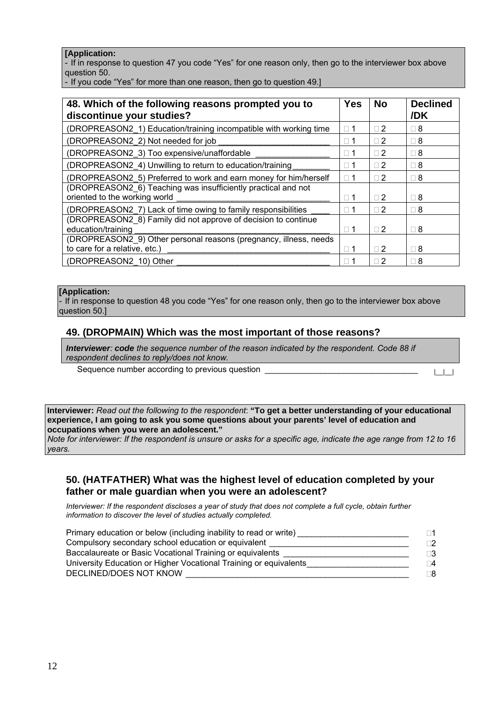- If in response to question 47 you code "Yes" for one reason only, then go to the interviewer box above question 50.

- If you code "Yes" for more than one reason, then go to question 49.]

| 48. Which of the following reasons prompted you to<br>discontinue your studies?                | <b>Yes</b> | <b>No</b>  | <b>Declined</b><br>/DK |
|------------------------------------------------------------------------------------------------|------------|------------|------------------------|
| (DROPREASON2 1) Education/training incompatible with working time                              | $\sqcap$ 1 | $\sqcap 2$ | $\Box$ 8               |
| (DROPREASON2 2) Not needed for job                                                             | $\Box$ 1   | $\sqcap 2$ | $\Box$ 8               |
| (DROPREASON2_3) Too expensive/unaffordable                                                     | $\Box$ 1   | $\sqcap 2$ | $\Box$ 8               |
| (DROPREASON2_4) Unwilling to return to education/training                                      | $\sqcap$ 1 | $\Box$ 2   | $\Box$ 8               |
| (DROPREASON2 5) Preferred to work and earn money for him/herself                               | $\sqcap$ 1 | $\sqcap 2$ | $\Box$ 8               |
| (DROPREASON2 6) Teaching was insufficiently practical and not<br>oriented to the working world | $\Box$ 1   | $\sqcap 2$ | $\Box$ 8               |
| (DROPREASON2_7) Lack of time owing to family responsibilities                                  | $\Box$ 1   | $\sqcap$ 2 | $\Box$ 8               |
| (DROPREASON2 8) Family did not approve of decision to continue<br>education/training           | $\Box$ 1   | $\Box$ 2   | $\Box$ 8               |
| (DROPREASON2 9) Other personal reasons (pregnancy, illness, needs                              |            |            |                        |
| to care for a relative, etc.)                                                                  | $\Box$ 1   | $\Box$ 2   | $\Box$ 8               |
| (DROPREASON2 10) Other                                                                         | $\sqcap$ 1 | $\sqcap 2$ | $\sqcap$ 8             |

### **[Application:**

- If in response to question 48 you code "Yes" for one reason only, then go to the interviewer box above question 50.1

#### **49. (DROPMAIN) Which was the most important of those reasons?**

*Interviewer: code the sequence number of the reason indicated by the respondent. Code 88 if respondent declines to reply/does not know.*

Sequence number according to previous question \_\_\_\_\_\_\_\_\_\_\_\_\_\_\_\_\_\_\_\_\_\_\_\_\_\_\_\_\_\_\_\_\_ |\_\_|\_\_|

**Interviewer:** *Read out the following to the respondent*: **"To get a better understanding of your educational experience, I am going to ask you some questions about your parents' level of education and occupations when you were an adolescent."** 

*Note for interviewer: If the respondent is unsure or asks for a specific age, indicate the age range from 12 to 16 years.* 

### **50. (HATFATHER) What was the highest level of education completed by your father or male guardian when you were an adolescent?**

*Interviewer: If the respondent discloses a year of study that does not complete a full cycle, obtain further information to discover the level of studies actually completed.*

| Primary education or below (including inability to read or write) | ∃1       |
|-------------------------------------------------------------------|----------|
| Compulsory secondary school education or equivalent               | ־2       |
| Baccalaureate or Basic Vocational Training or equivalents         | ∃3       |
| University Education or Higher Vocational Training or equivalents | $\Box 4$ |
| DECLINED/DOES NOT KNOW                                            | ר8       |
|                                                                   |          |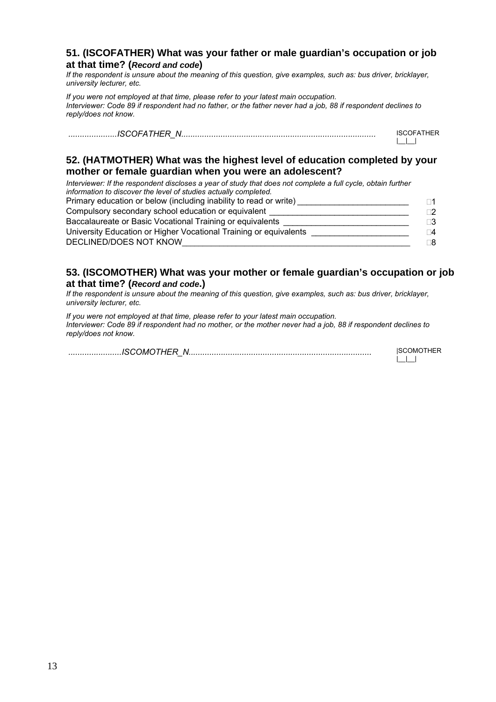### **51. (ISCOFATHER) What was your father or male guardian's occupation or job at that time? (***Record and code***)**

*If the respondent is unsure about the meaning of this question, give examples, such as: bus driver, bricklayer, university lecturer, etc.* 

*If you were not employed at that time, please refer to your latest main occupation. Interviewer: Code 89 if respondent had no father, or the father never had a job, 88 if respondent declines to reply/does not know.*

 *.....................ISCOFATHER\_N....................................................................................* ISCOFATHER  $|_{-}|_{-}|_{-}|_{-}$ 

### **52. (HATMOTHER) What was the highest level of education completed by your mother or female guardian when you were an adolescent?**

*Interviewer: If the respondent discloses a year of study that does not complete a full cycle, obtain further information to discover the level of studies actually completed.* Primary education or below (including inability to read or write)  $\Box$  1 Compulsory secondary school education or equivalent \_\_\_\_\_\_\_\_\_\_\_\_\_\_\_\_\_\_\_\_\_\_\_\_\_\_\_\_\_ 2 Baccalaureate or Basic Vocational Training or equivalents \_\_\_\_\_\_\_\_\_\_\_\_\_\_\_\_\_\_\_\_\_\_\_ University Education or Higher Vocational Training or equivalents \_\_\_\_\_\_\_\_\_\_\_\_\_\_\_\_\_\_\_\_\_\_\_\_\_\_\_\_\_\_\_\_\_ 4 DECLINED/DOES NOT KNOW **with a strategy of the strategy of the strategy of the strategy of the strategy of the strategy of the strategy of the strategy of the strategy of the strategy of the strategy of the strategy of the** 

### **53. (ISCOMOTHER) What was your mother or female guardian's occupation or job at that time? (***Record and code***.)**

*If the respondent is unsure about the meaning of this question, give examples, such as: bus driver, bricklayer, university lecturer, etc.* 

*If you were not employed at that time, please refer to your latest main occupation. Interviewer: Code 89 if respondent had no mother, or the mother never had a job, 88 if respondent declines to reply/does not know.*

| ')MC<br>N | IS 61 | , JMOTHEP |
|-----------|-------|-----------|
|           |       |           |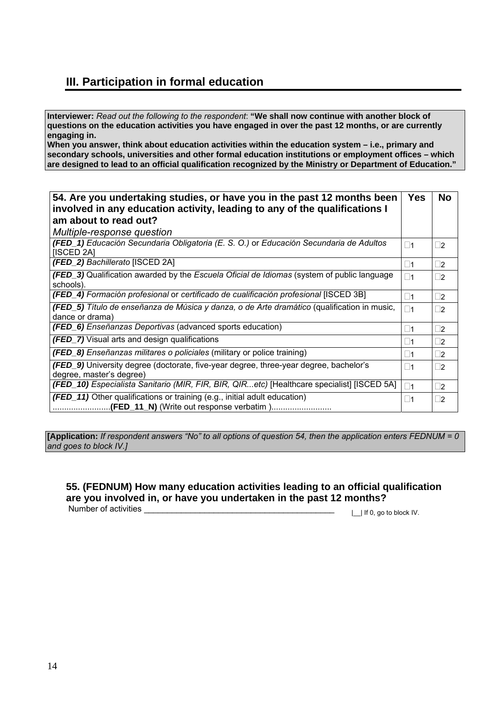### **III. Participation in formal education**

**Interviewer:** *Read out the following to the respondent*: **"We shall now continue with another block of questions on the education activities you have engaged in over the past 12 months, or are currently engaging in.** 

**When you answer, think about education activities within the education system – i.e., primary and secondary schools, universities and other formal education institutions or employment offices – which are designed to lead to an official qualification recognized by the Ministry or Department of Education."** 

| 54. Are you undertaking studies, or have you in the past 12 months been<br>involved in any education activity, leading to any of the qualifications I | <b>Yes</b>  | <b>No</b>   |
|-------------------------------------------------------------------------------------------------------------------------------------------------------|-------------|-------------|
| am about to read out?                                                                                                                                 |             |             |
| Multiple-response question                                                                                                                            |             |             |
| (FED_1) Educación Secundaria Obligatoria (E. S. O.) or Educación Secundaria de Adultos<br>[ISCED 2A]                                                  | $\square$ 1 | $\vert$ 2   |
| (FED_2) Bachillerato [ISCED 2A]                                                                                                                       | $\square$ 1 | $\square$ 2 |
| (FED_3) Qualification awarded by the Escuela Oficial de Idiomas (system of public language<br>schools).                                               | $\square$ 1 | $\square$   |
| (FED_4) Formación profesional or certificado de cualificación profesional [ISCED 3B]                                                                  | $\square$ 1 | $\square$ 2 |
| <b>(FED_5)</b> Título de enseñanza de Música y danza, o de Arte dramático (qualification in music,<br>dance or drama)                                 | $\Box$ 1    | $\Box$ 2    |
| (FED_6) Enseñanzas Deportivas (advanced sports education)                                                                                             | $\vert$ 11  | $\vert$ 2   |
| <b>(FED_7)</b> Visual arts and design qualifications                                                                                                  | $\square$ 1 | $\square$ 2 |
| <b>(FED_8)</b> Enseñanzas militares o policiales (military or police training)                                                                        | $\vert$ 11  | $\square$ 2 |
| (FED_9) University degree (doctorate, five-year degree, three-year degree, bachelor's<br>degree, master's degree)                                     | $\square$ 1 | $\Box$ 2    |
| (FED_10) Especialista Sanitario (MIR, FIR, BIR, QIRetc) [Healthcare specialist] [ISCED 5A]                                                            | $\Box$ 1    | $\square$ 2 |
| (FED_11) Other qualifications or training (e.g., initial adult education)                                                                             | $\square$ 1 | $\square$   |

**[Application:** *If respondent answers "No" to all options of question 54, then the application enters FEDNUM = 0 and goes to block IV.]* 

### **55. (FEDNUM) How many education activities leading to an official qualification are you involved in, or have you undertaken in the past 12 months?**  Number of activities \_\_\_\_\_\_\_\_\_\_\_\_\_\_\_\_\_\_\_\_\_\_\_\_\_\_\_\_\_\_\_\_\_\_\_\_\_\_\_\_\_ |\_\_| If 0, go to block IV.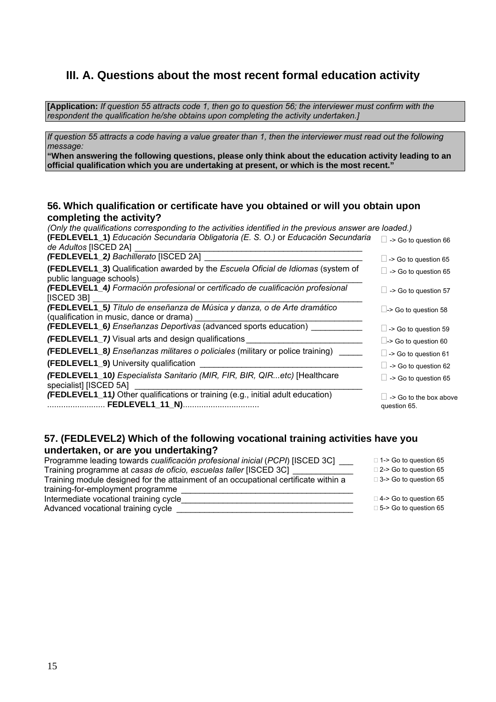### **III. A. Questions about the most recent formal education activity**

**[Application:** *If question 55 attracts code 1, then go to question 56; the interviewer must confirm with the respondent the qualification he/she obtains upon completing the activity undertaken.]* 

*If question 55 attracts a code having a value greater than 1, then the interviewer must read out the following message:* 

**"When answering the following questions, please only think about the education activity leading to an official qualification which you are undertaking at present, or which is the most recent."**

#### **56. Which qualification or certificate have you obtained or will you obtain upon completing the activity?**

| (Only the qualifications corresponding to the activities identified in the previous answer are loaded.)                    |                                               |
|----------------------------------------------------------------------------------------------------------------------------|-----------------------------------------------|
| (FEDLEVEL1_1) Educación Secundaria Obligatoria (E. S. O.) or Educación Secundaria<br>de Adultos [ISCED 2A]                 | $\Box$ -> Go to question 66                   |
| (FEDLEVEL1_2) Bachillerato [ISCED 2A]                                                                                      | $\Box$ -> Go to question 65                   |
| <b>(FEDLEVEL1_3)</b> Qualification awarded by the <i>Escuela Oficial de Idiomas</i> (system of<br>public language schools) | $\Box$ -> Go to question 65                   |
| (FEDLEVEL1_4) Formación profesional or certificado de cualificación profesional<br>[ISCED 3B]                              | $\Box$ -> Go to question 57                   |
| (FEDLEVEL1_5) Título de enseñanza de Música y danza, o de Arte dramático<br>(qualification in music, dance or drama)       | $\Box$ -> Go to question 58                   |
| <b>(FEDLEVEL1_6)</b> Enseñanzas Deportivas (advanced sports education) _______                                             | $\Box$ -> Go to question 59                   |
| <b>(FEDLEVEL1_7)</b> Visual arts and design qualifications                                                                 | $\Box$ -> Go to question 60                   |
| (FEDLEVEL1_8) Enseñanzas militares o policiales (military or police training)                                              | $\Box$ -> Go to question 61                   |
| (FEDLEVEL1_9) University qualification                                                                                     | $\Box$ -> Go to question 62                   |
| (FEDLEVEL1_10) Especialista Sanitario (MIR, FIR, BIR, QIRetc) [Healthcare<br>specialist] [ISCED 5A]                        | $\Box$ -> Go to question 65                   |
| <b>(FEDLEVEL1_11)</b> Other qualifications or training (e.g., initial adult education)                                     | $\Box$ -> Go to the box above<br>question 65. |

### **57. (FEDLEVEL2) Which of the following vocational training activities have you undertaken, or are you undertaking?**

| Programme leading towards cualificación profesional inicial (PCPI) [ISCED 3C]       | $\Box$ 1-> Go to question 65 |
|-------------------------------------------------------------------------------------|------------------------------|
| Training programme at casas de oficio, escuelas taller [ISCED 3C]                   | $\Box$ 2-> Go to question 65 |
| Training module designed for the attainment of an occupational certificate within a | $\Box$ 3-> Go to question 65 |
| training-for-employment programme                                                   |                              |
| Intermediate vocational training cycle                                              | $\Box$ 4-> Go to question 65 |
| Advanced vocational training cycle                                                  | $\Box$ 5-> Go to question 65 |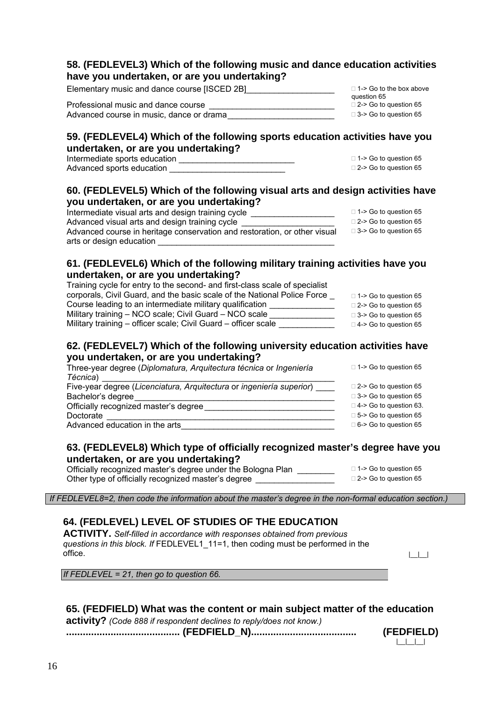### **58. (FEDLEVEL3) Which of the following music and dance education activities have you undertaken, or are you undertaking?**

Elementary music and dance course [ISCED 2B]  $\Box$  1-> Go to the box above

question 65<br>□ 2-> Go to question 65 Professional music and dance course<br>Advanced course in music. dance or drama<br> $\Box$  3-> Go to question 65 Advanced course in music, dance or drama

### **59. (FEDLEVEL4) Which of the following sports education activities have you undertaken, or are you undertaking?**

Intermediate sports education \_\_\_\_\_\_\_\_\_\_\_\_\_\_\_\_\_\_\_\_\_\_\_\_\_ 1-> Go to question 65 Advanced sports education

### **60. (FEDLEVEL5) Which of the following visual arts and design activities have you undertaken, or are you undertaking?**

| Intermediate visual arts and design training cycle                        | $\Box$ 1-> Go to question 65 |
|---------------------------------------------------------------------------|------------------------------|
| Advanced visual arts and design training cycle                            | $\Box$ 2-> Go to question 65 |
| Advanced course in heritage conservation and restoration, or other visual | $\Box$ 3-> Go to question 65 |
| arts or design education                                                  |                              |

### **61. (FEDLEVEL6) Which of the following military training activities have you undertaken, or are you undertaking?**

| Training cycle for entry to the second- and first-class scale of specialist |                              |
|-----------------------------------------------------------------------------|------------------------------|
| corporals, Civil Guard, and the basic scale of the National Police Force    | $\Box$ 1-> Go to question 65 |
| Course leading to an intermediate military qualification                    | $\Box$ 2-> Go to question 65 |
| Military training - NCO scale; Civil Guard - NCO scale                      | $\Box$ 3-> Go to question 65 |
| Military training - officer scale; Civil Guard - officer scale              | $\Box$ 4-> Go to question 65 |

### **62. (FEDLEVEL7) Which of the following university education activities have you undertaken, or are you undertaking?**

| Three-year degree (Diplomatura, Arguitectura técnica or Ingeniería   | $\Box$ 1-> Go to question 65  |
|----------------------------------------------------------------------|-------------------------------|
| Técnica)                                                             |                               |
| Five-year degree (Licenciatura, Arquitectura or ingeniería superior) | $\Box$ 2-> Go to question 65  |
| Bachelor's degree                                                    | $\Box$ 3-> Go to question 65  |
| Officially recognized master's degree                                | $\Box$ 4-> Go to question 63. |
| Doctorate                                                            | $\Box$ 5-> Go to question 65  |
| Advanced education in the arts                                       | $\Box$ 6-> Go to question 65  |
|                                                                      |                               |

### **63. (FEDLEVEL8) Which type of officially recognized master's degree have you undertaken, or are you undertaking?**

| Officially recognized master's degree under the Bologna Plan | $\Box$ 1-> Go to question 65 |
|--------------------------------------------------------------|------------------------------|
| Other type of officially recognized master's degree          | $\Box$ 2-> Go to question 65 |

 *If FEDLEVEL8=2, then code the information about the master's degree in the non-formal education section.)* 

### **64. (FEDLEVEL) LEVEL OF STUDIES OF THE EDUCATION**

**ACTIVITY.** *Self-filled in accordance with responses obtained from previous questions in this block. If* FEDLEVEL1\_11=1, then coding must be performed in the office.  $\Box$ 

|\_\_|\_\_|\_\_|

*If FEDLEVEL = 21, then go to question 66.* 

### **65. (FEDFIELD) What was the content or main subject matter of the education**

**activity?** *(Code 888 if respondent declines to reply/does not know.)*

**......................................... (FEDFIELD\_N)...................................... (FEDFIELD)**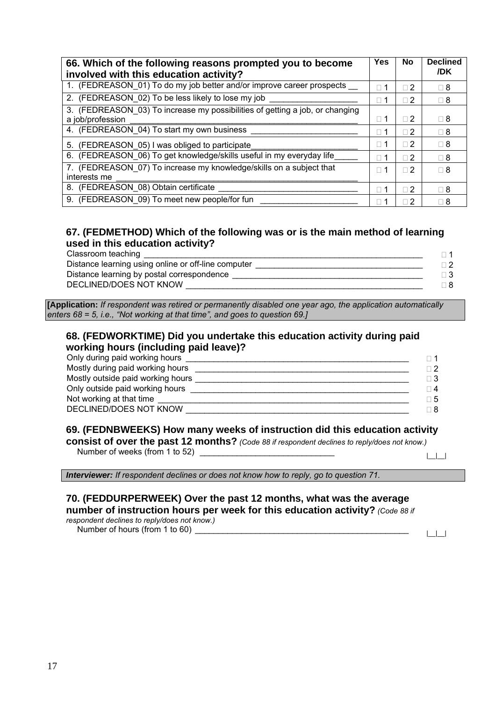| 66. Which of the following reasons prompted you to become<br>involved with this education activity? |                          | No             | <b>Declined</b><br>/DK |
|-----------------------------------------------------------------------------------------------------|--------------------------|----------------|------------------------|
| 1. (FEDREASON_01) To do my job better and/or improve career prospects __                            |                          | $\sqcap 2$     | $\Box$ 8               |
| 2. (FEDREASON 02) To be less likely to lose my job                                                  |                          | $\sqcap 2$     | $\Box$ 8               |
| 3. (FEDREASON 03) To increase my possibilities of getting a job, or changing<br>a job/profession    | $\Box$                   | $\Box$ 2       | $\Box$ 8               |
| 4. (FEDREASON 04) To start my own business                                                          | $\Box$                   | $\sqcap 2$     | $\Box$ 8               |
| 5. (FEDREASON 05) I was obliged to participate                                                      | П                        | $\sqcap 2$     | $\Box$ 8               |
| 6. (FEDREASON_06) To get knowledge/skills useful in my everyday life                                | $\overline{\phantom{a}}$ | $\Box$ 2       | $\Box$ 8               |
| 7. (FEDREASON_07) To increase my knowledge/skills on a subject that<br>interests me                 | 1<br>Ш                   | $\Box$ 2       | $\Box$ 8               |
| 8. (FEDREASON 08) Obtain certificate                                                                |                          | $\sqcap 2$     | $\Box$ 8               |
| 9. (FEDREASON 09) To meet new people/for fun                                                        |                          | $\overline{2}$ | ⊟ 8                    |

### **67. (FEDMETHOD) Which of the following was or is the main method of learning used in this education activity?**

| Classroom teaching                                  |  |
|-----------------------------------------------------|--|
| Distance learning using online or off-line computer |  |
| Distance learning by postal correspondence          |  |
| DECLINED/DOES NOT KNOW                              |  |

**[Application:** *If respondent was retired or permanently disabled one year ago, the application automatically enters 68 = 5, i.e., "Not working at that time", and goes to question 69.]* 

### **68. (FEDWORKTIME) Did you undertake this education activity during paid working hours (including paid leave)?**

| Only during paid working hours    | - 1        |
|-----------------------------------|------------|
| Mostly during paid working hours  | $\sqcap 2$ |
| Mostly outside paid working hours | $\Box$ 3   |
| Only outside paid working hours   | $\sqcap$ 4 |
| Not working at that time          | $\Box$ 5   |
| DECLINED/DOES NOT KNOW            | ר 8        |
|                                   |            |

### **69. (FEDNBWEEKS) How many weeks of instruction did this education activity**

**consist of over the past 12 months?** *(Code 88 if respondent declines to reply/does not know.)* Number of weeks (from 1 to 52) \_\_\_\_\_\_\_\_\_\_\_\_\_\_\_\_\_\_\_\_\_\_\_\_\_\_\_\_\_ |\_\_|\_\_|

*Interviewer: If respondent declines or does not know how to reply, go to question 71.* 

#### **70. (FEDDURPERWEEK) Over the past 12 months, what was the average number of instruction hours per week for this education activity?** *(Code 88 if respondent declines to reply/does not know.)*

Number of hours (from 1 to 60)  $\frac{1}{\sqrt{1-\frac{1}{2}}}$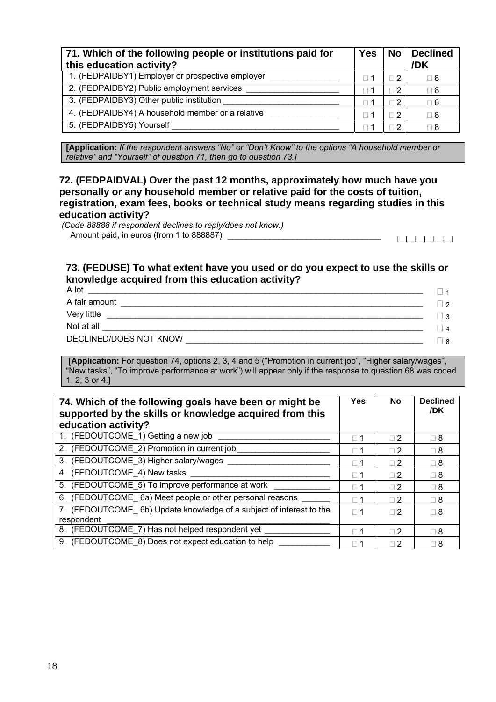| 71. Which of the following people or institutions paid for<br>this education activity? | <b>Yes</b> | No                | <b>Declined</b><br>/DK |
|----------------------------------------------------------------------------------------|------------|-------------------|------------------------|
| 1. (FEDPAIDBY1) Employer or prospective employer                                       |            | $\sqcap 2$        | 2 ⊡                    |
| 2. (FEDPAIDBY2) Public employment services                                             |            | $\overline{2}$    | 8 ⊡                    |
| 3. (FEDPAIDBY3) Other public institution                                               |            | $\overline{2}$    | 8 ⊡                    |
| 4. (FEDPAIDBY4) A household member or a relative                                       |            | $\overline{2}$    | 8 ⊡                    |
| 5. (FEDPAIDBY5) Yourself                                                               |            | $\vert 2 \rangle$ | ∃ 8                    |

**[Application:** *If the respondent answers "No" or "Don't Know" to the options "A household member or relative" and "Yourself" of question 71, then go to question 73.]* 

**72. (FEDPAIDVAL) Over the past 12 months, approximately how much have you personally or any household member or relative paid for the costs of tuition, registration, exam fees, books or technical study means regarding studies in this education activity?** 

 *(Code 88888 if respondent declines to reply/does not know.)* Amount paid, in euros (from 1 to 888887) \_\_\_\_\_\_\_\_\_\_\_\_\_\_\_\_\_\_\_\_\_\_\_\_\_\_\_\_\_\_\_\_\_ |\_\_|\_\_|\_\_|\_\_|\_\_|\_\_|

### **73. (FEDUSE) To what extent have you used or do you expect to use the skills or knowledge acquired from this education activity?**

| A lot                  |                |
|------------------------|----------------|
| A fair amount          | ່າ             |
| Very little            | -3             |
| Not at all             | $\overline{4}$ |
| DECLINED/DOES NOT KNOW | 8              |
|                        |                |

 **[Application:** For question 74, options 2, 3, 4 and 5 ("Promotion in current job", "Higher salary/wages", "New tasks", "To improve performance at work") will appear only if the response to question 68 was coded 1, 2, 3 or 4.]

| 74. Which of the following goals have been or might be<br>supported by the skills or knowledge acquired from this<br>education activity? |            | No       | <b>Declined</b><br>/DK |
|------------------------------------------------------------------------------------------------------------------------------------------|------------|----------|------------------------|
| 1. (FEDOUTCOME_1) Getting a new job                                                                                                      | $\Box$ 1   | $\Box$ 2 | $\Box$ 8               |
| 2. (FEDOUTCOME_2) Promotion in current job                                                                                               | $\Box$ 1   | $\Box$ 2 | $\Box$ 8               |
| 3. (FEDOUTCOME_3) Higher salary/wages                                                                                                    | $\sqcap$ 1 | $\Box$ 2 | $\Box$ 8               |
| 4. (FEDOUTCOME_4) New tasks                                                                                                              | $\sqcap$ 1 | $\Box$ 2 | $\Box$ 8               |
| 5. (FEDOUTCOME_5) To improve performance at work                                                                                         | $\sqcap$ 1 | $\Box$ 2 | $\Box$ 8               |
| 6. (FEDOUTCOME 6a) Meet people or other personal reasons                                                                                 | $\sqcap$ 1 | $\Box$ 2 | $\Box$ 8               |
| 7. (FEDOUTCOME 6b) Update knowledge of a subject of interest to the<br>respondent                                                        | $\Box$ 1   | $\Box$ 2 | $\Box$ 8               |
| 8. (FEDOUTCOME 7) Has not helped respondent yet                                                                                          | $\sqcap$ 1 | $\Box$ 2 | $\Box$ 8               |
| 9. (FEDOUTCOME 8) Does not expect education to help                                                                                      |            | Π2       | $\Box$ 8               |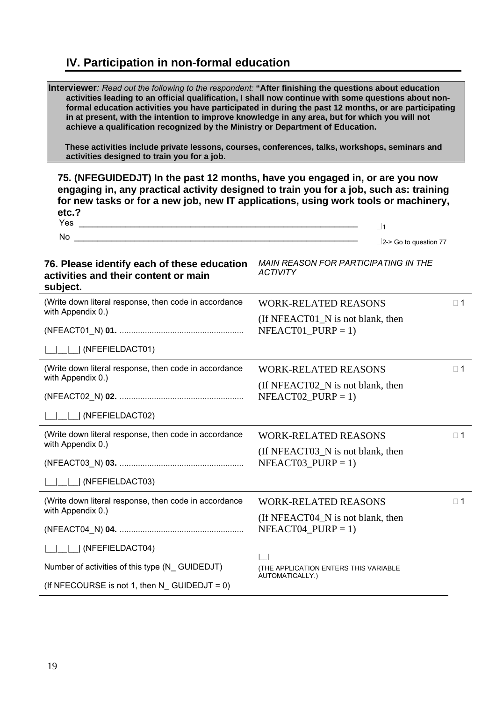## **IV. Participation in non-formal education**

| Interviewer: Read out the following to the respondent: "After finishing the questions about education<br>in at present, with the intention to improve knowledge in any area, but for which you will not<br>achieve a qualification recognized by the Ministry or Department of Education.<br>activities designed to train you for a job. | activities leading to an official qualification, I shall now continue with some questions about non-<br>formal education activities you have participated in during the past 12 months, or are participating<br>These activities include private lessons, courses, conferences, talks, workshops, seminars and |
|------------------------------------------------------------------------------------------------------------------------------------------------------------------------------------------------------------------------------------------------------------------------------------------------------------------------------------------|----------------------------------------------------------------------------------------------------------------------------------------------------------------------------------------------------------------------------------------------------------------------------------------------------------------|
| 75. (NFEGUIDEDJT) In the past 12 months, have you engaged in, or are you now<br>etc.?                                                                                                                                                                                                                                                    | engaging in, any practical activity designed to train you for a job, such as: training<br>for new tasks or for a new job, new IT applications, using work tools or machinery,<br>$\square$ 1                                                                                                                   |
| No and the contract of the contract of the contract of the contract of the contract of the contract of the contract of the contract of the contract of the contract of the contract of the contract of the contract of the con                                                                                                           | $\Box$ 2-> Go to question 77                                                                                                                                                                                                                                                                                   |
| 76. Please identify each of these education<br>activities and their content or main<br>subject.                                                                                                                                                                                                                                          | <b>MAIN REASON FOR PARTICIPATING IN THE</b><br><b>ACTIVITY</b>                                                                                                                                                                                                                                                 |
| (Write down literal response, then code in accordance                                                                                                                                                                                                                                                                                    | <b>WORK-RELATED REASONS</b><br>$\square$ 1                                                                                                                                                                                                                                                                     |
| with Appendix 0.)                                                                                                                                                                                                                                                                                                                        | (If NFEACT01 N is not blank, then<br>$NFEACT01$ $PURP = 1$ )                                                                                                                                                                                                                                                   |
| $\Box$ (NFEFIELDACT01)                                                                                                                                                                                                                                                                                                                   |                                                                                                                                                                                                                                                                                                                |
| (Write down literal response, then code in accordance                                                                                                                                                                                                                                                                                    | $\square$ 1<br><b>WORK-RELATED REASONS</b>                                                                                                                                                                                                                                                                     |
| with Appendix 0.)                                                                                                                                                                                                                                                                                                                        | (If NFEACTO2_N is not blank, then<br>$NFEACT02$ _PURP = 1)                                                                                                                                                                                                                                                     |
| (NFEFIELDACT02)                                                                                                                                                                                                                                                                                                                          |                                                                                                                                                                                                                                                                                                                |
| (Write down literal response, then code in accordance<br>with Appendix 0.)                                                                                                                                                                                                                                                               | <b>WORK-RELATED REASONS</b><br>$\square$ 1                                                                                                                                                                                                                                                                     |
|                                                                                                                                                                                                                                                                                                                                          | (If NFEACT03_N is not blank, then<br>$NFEACT03_PURP = 1$                                                                                                                                                                                                                                                       |
| (NFEFIELDACT03)                                                                                                                                                                                                                                                                                                                          |                                                                                                                                                                                                                                                                                                                |
| (Write down literal response, then code in accordance                                                                                                                                                                                                                                                                                    | <b>WORK-RELATED REASONS</b><br>$\square$ 1                                                                                                                                                                                                                                                                     |
| with Appendix 0.)                                                                                                                                                                                                                                                                                                                        | (If NFEACT04_N is not blank, then<br>$NFEACT04_PURP = 1$                                                                                                                                                                                                                                                       |
| (NFEFIELDACT04)                                                                                                                                                                                                                                                                                                                          |                                                                                                                                                                                                                                                                                                                |
| Number of activities of this type (N_GUIDEDJT)                                                                                                                                                                                                                                                                                           | (THE APPLICATION ENTERS THIS VARIABLE                                                                                                                                                                                                                                                                          |
| (If NFECOURSE is not 1, then $N_{-}$ GUIDEDJT = 0)                                                                                                                                                                                                                                                                                       | AUTOMATICALLY.)                                                                                                                                                                                                                                                                                                |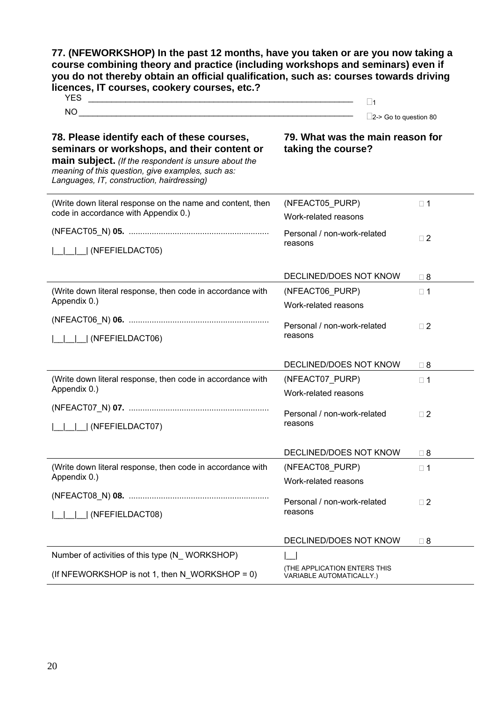**77. (NFEWORKSHOP) In the past 12 months, have you taken or are you now taking a course combining theory and practice (including workshops and seminars) even if you do not thereby obtain an official qualification, such as: courses towards driving licences, IT courses, cookery courses, etc.?**

| . <i>.</i> .<br>-- | $\sim$      |
|--------------------|-------------|
| <b>NC</b>          | $\sim$      |
|                    | 80<br>~<br> |

#### **78. Please identify each of these courses, seminars or workshops, and their content or main subject.** *(If the respondent is unsure about the meaning of this question, give examples, such as: Languages, IT, construction, hairdressing)*

**79. What was the main reason for taking the course?** 

| (Write down literal response on the name and content, then | (NFEACT05_PURP)                                          | $\Box$ 1    |
|------------------------------------------------------------|----------------------------------------------------------|-------------|
| code in accordance with Appendix 0.)                       | Work-related reasons                                     |             |
|                                                            | Personal / non-work-related                              | $\square$ 2 |
| (NFEFIELDACT05)                                            | reasons                                                  |             |
|                                                            | DECLINED/DOES NOT KNOW                                   | $\Box$ 8    |
| (Write down literal response, then code in accordance with | (NFEACT06_PURP)                                          | $\Box$ 1    |
| Appendix 0.)                                               | Work-related reasons                                     |             |
|                                                            | Personal / non-work-related                              | $\square$ 2 |
| (NFEFIELDACT06)                                            | reasons                                                  |             |
|                                                            |                                                          |             |
|                                                            | DECLINED/DOES NOT KNOW                                   | $\sqcap$ 8  |
| (Write down literal response, then code in accordance with | (NFEACT07_PURP)                                          | $\Box$ 1    |
| Appendix 0.)                                               | Work-related reasons                                     |             |
|                                                            | Personal / non-work-related                              | $\square$ 2 |
| I (NFEFIELDACT07)                                          | reasons                                                  |             |
|                                                            |                                                          |             |
|                                                            | DECLINED/DOES NOT KNOW                                   | $\sqcap$ 8  |
| (Write down literal response, then code in accordance with | (NFEACT08_PURP)                                          | $\Box$ 1    |
| Appendix 0.)                                               | Work-related reasons                                     |             |
|                                                            | Personal / non-work-related                              | $\square$ 2 |
| I (NFEFIELDACT08)                                          | reasons                                                  |             |
|                                                            |                                                          |             |
|                                                            | DECLINED/DOES NOT KNOW                                   | $\sqcap$ 8  |
| Number of activities of this type (N_WORKSHOP)             |                                                          |             |
| (If NFEWORKSHOP is not 1, then N WORKSHOP = 0)             | (THE APPLICATION ENTERS THIS<br>VARIABLE AUTOMATICALLY.) |             |
|                                                            |                                                          |             |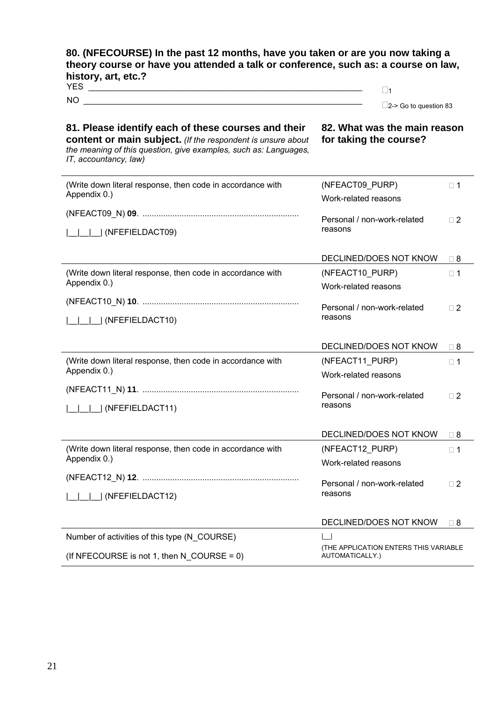### **80. (NFECOURSE) In the past 12 months, have you taken or are you now taking a theory course or have you attended a talk or conference, such as: a course on law, history, art, etc.?** YES \_\_\_\_\_\_\_\_\_\_\_\_\_\_\_\_\_\_\_\_\_\_\_\_\_\_\_\_\_\_\_\_\_\_\_\_\_\_\_\_\_\_\_\_\_\_\_\_\_\_\_\_\_\_\_\_\_\_\_ <sup>1</sup>

 $\square$ 2-> Go to question 83

### **81. Please identify each of these courses and their content or main subject.** *(If the respondent is unsure about the meaning of this question, give examples, such as: Languages, IT, accountancy, law)*

**82. What was the main reason for taking the course?** 

| (Write down literal response, then code in accordance with | (NFEACT09 PURP)                        | $\Box$ 1    |
|------------------------------------------------------------|----------------------------------------|-------------|
| Appendix 0.)                                               | Work-related reasons                   |             |
|                                                            | Personal / non-work-related            |             |
| (NFEFIELDACT09)                                            | reasons                                | $\Box$ 2    |
|                                                            |                                        |             |
|                                                            | DECLINED/DOES NOT KNOW                 | $\Box$ 8    |
| (Write down literal response, then code in accordance with | (NFEACT10_PURP)                        | $\Box$ 1    |
| Appendix 0.)                                               | Work-related reasons                   |             |
|                                                            |                                        |             |
| (NFEFIELDACT10)                                            | Personal / non-work-related<br>reasons | $\Box$ 2    |
|                                                            |                                        |             |
|                                                            | DECLINED/DOES NOT KNOW                 | $\Box$ 8    |
| (Write down literal response, then code in accordance with | (NFEACT11_PURP)                        | $\square$ 1 |
| Appendix 0.)                                               | Work-related reasons                   |             |
|                                                            |                                        |             |
| (NFEFIELDACT11)                                            | Personal / non-work-related<br>reasons | $\square$ 2 |
|                                                            |                                        |             |
|                                                            | DECLINED/DOES NOT KNOW                 | $\Box$ 8    |
| (Write down literal response, then code in accordance with | (NFEACT12_PURP)                        | $\square$ 1 |
| Appendix 0.)                                               | Work-related reasons                   |             |
|                                                            |                                        |             |
| (NFEFIELDACT12)                                            | Personal / non-work-related<br>reasons | $\square$ 2 |
|                                                            |                                        |             |
|                                                            | DECLINED/DOES NOT KNOW                 | $\Box$ 8    |
| Number of activities of this type (N_COURSE)               |                                        |             |
|                                                            | (THE APPLICATION ENTERS THIS VARIABLE  |             |
| (If NFECOURSE is not 1, then N COURSE = 0)                 | AUTOMATICALLY.)                        |             |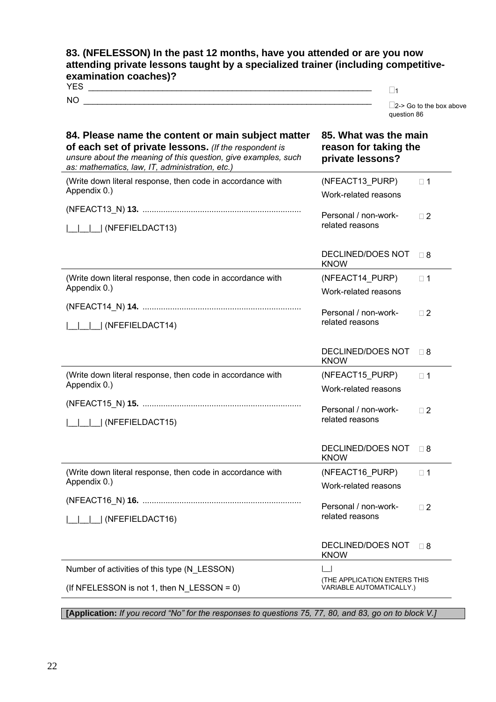### **83. (NFELESSON) In the past 12 months, have you attended or are you now attending private lessons taught by a specialized trainer (including competitiveexamination coaches)?**

| Νı |  |
|----|--|

 $\square$ 2-> Go to the box above question 86

| 84. Please name the content or main subject matter<br>of each set of private lessons. (If the respondent is<br>unsure about the meaning of this question, give examples, such<br>as: mathematics, law, IT, administration, etc.) | 85. What was the main<br>reason for taking the<br>private lessons? |
|----------------------------------------------------------------------------------------------------------------------------------------------------------------------------------------------------------------------------------|--------------------------------------------------------------------|
| (Write down literal response, then code in accordance with<br>Appendix 0.)                                                                                                                                                       | (NFEACT13 PURP)<br>$\Box$ 1<br>Work-related reasons                |
| (NFEFIELDACT13)                                                                                                                                                                                                                  | Personal / non-work-<br>$\square$ 2<br>related reasons             |
|                                                                                                                                                                                                                                  | DECLINED/DOES NOT<br>Π8<br><b>KNOW</b>                             |
| (Write down literal response, then code in accordance with                                                                                                                                                                       | (NFEACT14_PURP)<br>$\Box$ 1                                        |
| Appendix 0.)                                                                                                                                                                                                                     | Work-related reasons                                               |
| (NFEFIELDACT14)                                                                                                                                                                                                                  | Personal / non-work-<br>$\Box$ 2<br>related reasons                |
|                                                                                                                                                                                                                                  | DECLINED/DOES NOT<br>$\Box$ 8<br><b>KNOW</b>                       |
| (Write down literal response, then code in accordance with                                                                                                                                                                       | (NFEACT15_PURP)<br>$\Box$ 1                                        |
| Appendix 0.)                                                                                                                                                                                                                     | Work-related reasons                                               |
| (NFEFIELDACT15)                                                                                                                                                                                                                  | Personal / non-work-<br>$\Box$ 2<br>related reasons                |
|                                                                                                                                                                                                                                  | <b>DECLINED/DOES NOT</b><br>$\Box$ 8<br><b>KNOW</b>                |
| (Write down literal response, then code in accordance with                                                                                                                                                                       | (NFEACT16_PURP)<br>$\Box$ 1                                        |
| Appendix 0.)                                                                                                                                                                                                                     | Work-related reasons                                               |
| (NFEFIELDACT16)                                                                                                                                                                                                                  | Personal / non-work-<br>$\Box$ 2<br>related reasons                |
|                                                                                                                                                                                                                                  | DECLINED/DOES NOT<br>$\Box$ 8<br><b>KNOW</b>                       |
| Number of activities of this type (N_LESSON)                                                                                                                                                                                     |                                                                    |
| (If NFELESSON is not 1, then $N_{\text{L}}$ LESSON = 0)                                                                                                                                                                          | (THE APPLICATION ENTERS THIS<br>VARIABLE AUTOMATICALLY.)           |

**[Application:** *If you record "No" for the responses to questions 75, 77, 80, and 83, go on to block V.]*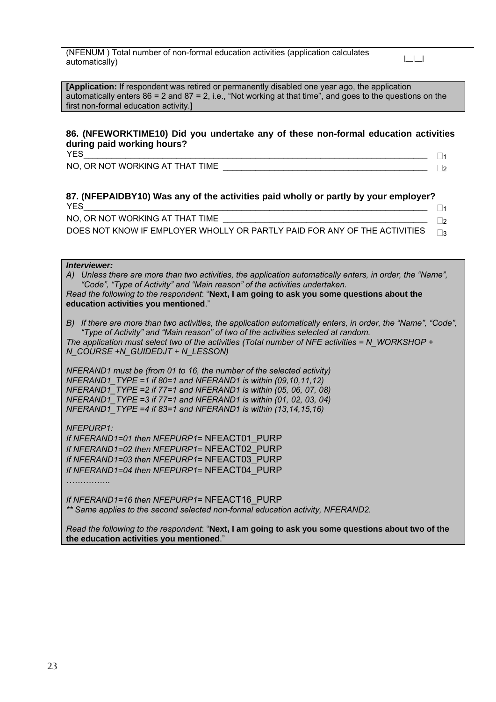(NFENUM ) Total number of non-formal education activities (application calculates  $\left| \begin{array}{c} \text{at least real number of non-normal coacation factors (approximation coacation)}\ \text{and} \end{array} \right|$ 

**[Application:** If respondent was retired or permanently disabled one year ago, the application automatically enters  $86 = 2$  and  $87 = 2$ , i.e., "Not working at that time", and goes to the questions on the first non-formal education activity.]

### **86. (NFEWORKTIME10) Did you undertake any of these non-formal education activities during paid working hours?**  YES\_\_\_\_\_\_\_\_\_\_\_\_\_\_\_\_\_\_\_\_\_\_\_\_\_\_\_\_\_\_\_\_\_\_\_\_\_\_\_\_\_\_\_\_\_\_\_\_\_\_\_\_\_\_\_\_\_\_\_\_\_\_\_\_\_\_\_\_\_\_\_\_\_\_ <sup>1</sup>

NO, OR NOT WORKING AT THAT TIME \_\_\_\_\_\_\_\_\_\_\_\_\_\_\_\_\_\_\_\_\_\_\_\_\_\_\_\_\_\_\_\_\_\_\_\_\_\_\_\_\_\_\_\_ <sup>2</sup>

### **87. (NFEPAIDBY10) Was any of the activities paid wholly or partly by your employer?**  YES\_\_\_\_\_\_\_\_\_\_\_\_\_\_\_\_\_\_\_\_\_\_\_\_\_\_\_\_\_\_\_\_\_\_\_\_\_\_\_\_\_\_\_\_\_\_\_\_\_\_\_\_\_\_\_\_\_\_\_\_\_\_\_\_\_\_\_\_\_\_\_\_\_\_ <sup>1</sup>

| NO, OR NOT WORKING AT THAT TIME                                                  |  |
|----------------------------------------------------------------------------------|--|
| DOES NOT KNOW IF EMPLOYER WHOLLY OR PARTLY PAID FOR ANY OF THE ACTIVITIES $\Box$ |  |

*Interviewer:* 

*A) Unless there are more than two activities, the application automatically enters, in order, the "Name", "Code", "Type of Activity" and "Main reason" of the activities undertaken. Read the following to the respondent*: "**Next, I am going to ask you some questions about the education activities you mentioned**."

*B) If there are more than two activities, the application automatically enters, in order, the "Name", "Code", "Type of Activity" and "Main reason" of two of the activities selected at random. The application must select two of the activities (Total number of NFE activities = N\_WORKSHOP + N\_COURSE +N\_GUIDEDJT + N\_LESSON)* 

*NFERAND1 must be (from 01 to 16, the number of the selected activity) NFERAND1\_TYPE =1 if 80=1 and NFERAND1 is within (09,10,11,12) NFERAND1\_TYPE =2 if 77=1 and NFERAND1 is within (05, 06, 07, 08) NFERAND1\_TYPE =3 if 77=1 and NFERAND1 is within (01, 02, 03, 04) NFERAND1\_TYPE =4 if 83=1 and NFERAND1 is within (13,14,15,16)* 

*NFEPURP1: If NFERAND1=01 then NFEPURP1=* NFEACT01\_PURP *If NFERAND1=02 then NFEPURP1=* NFEACT02\_PURP *If NFERAND1=03 then NFEPURP1=* NFEACT03\_PURP *If NFERAND1=04 then NFEPURP1=* NFEACT04\_PURP

*If NFERAND1=16 then NFEPURP1=* NFEACT16\_PURP *\*\* Same applies to the second selected non-formal education activity, NFERAND2.* 

*Read the following to the respondent*: "**Next, I am going to ask you some questions about two of the the education activities you mentioned**."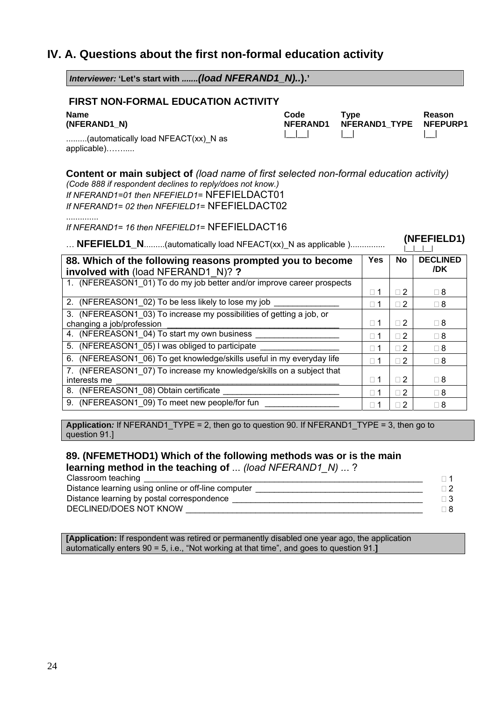### **IV. A. Questions about the first non-formal education activity**

*Interviewer:* **'Let's start with** *.......(load NFERAND1\_N)..***).' FIRST NON-FORMAL EDUCATION ACTIVITY Name (NFERAND1\_N) Code NFERAND1 Type NFERAND1\_TYPE Reason NFEPURP1**  .........(automatically load NFEACT(xx)\_N as applicable)…….....  $|\_$ **Content or main subject of** *(load name of first selected non-formal education activity) (Code 888 if respondent declines to reply/does not know.) If NFERAND1=01 then NFEFIELD1=* NFEFIELDACT01 *If NFERAND1= 02 then NFEFIELD1=* NFEFIELDACT02 .............. *If NFERAND1= 16 then NFEFIELD1=* NFEFIELDACT16 … **NFEFIELD1\_N**.........(automatically load NFEACT(xx)\_N as applicable )............... **(NFEFIELD1)**  $|_{-}|_{-}|_{-}|_{-}$ **88. Which of the following reasons prompted you to become involved with** (load NFERAND1\_N)? **?** Yes No DECLINED **/DK**  1. (NFEREASON1\_01) To do my job better and/or improve career prospects  $\Box$  1  $\Box$  2  $\Box$  2  $\Box$  8 2. (NFEREASON1\_02) To be less likely to lose my job \_\_\_\_\_\_\_\_\_\_\_\_\_\_ 1 2 8 3. (NFEREASON1\_03) To increase my possibilities of getting a job, or changing a job/profession  $\Box$ 4. (NFEREASON1\_04) To start my own business \_\_\_\_\_\_\_\_\_\_\_\_\_\_\_\_\_\_ 1 2 8 5. (NFEREASON1\_05) I was obliged to participate \_\_\_\_\_\_\_\_\_\_\_\_\_\_\_\_\_ 1 2 8 6. (NFEREASON1\_06) To get knowledge/skills useful in my everyday life  $\Box$   $\Box$   $\Box$   $\Box$   $\Box$   $\Box$   $\Box$  8 7. (NFEREASON1\_07) To increase my knowledge/skills on a subject that interests me \_\_\_\_\_\_\_\_\_\_\_\_\_\_\_\_\_\_\_\_\_\_\_\_\_\_\_\_\_\_\_\_\_\_\_\_\_\_\_\_\_\_\_\_\_\_\_\_ 1 2 8 8. (NFEREASON1\_08) Obtain certificate \_\_\_\_\_\_\_\_\_\_\_\_\_\_\_\_\_\_\_\_\_\_\_\_\_ 1 2 8 9. (NFEREASON1\_09) To meet new people/for fun \_\_\_\_\_\_\_\_\_\_\_\_\_\_\_\_ 1 2 8 **Application***:* If NFERAND1\_TYPE = 2, then go to question 90. If NFERAND1\_TYPE = 3, then go to

question 91.]

### **89. (NFEMETHOD1) Which of the following methods was or is the main learning method in the teaching of** ... *(load NFERAND1\_N) ..*. ?

| Classroom teaching                                  |               |
|-----------------------------------------------------|---------------|
| Distance learning using online or off-line computer | $\sqsupset$ 2 |
| Distance learning by postal correspondence          |               |
| DECLINED/DOES NOT KNOW                              |               |

**[Application:** If respondent was retired or permanently disabled one year ago, the application automatically enters 90 = 5, i.e., "Not working at that time", and goes to question 91.**]**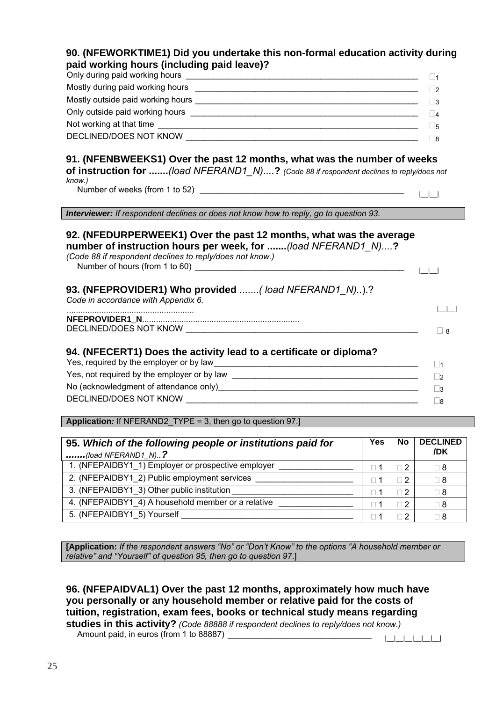| 90. (NFEWORKTIME1) Did you undertake this non-formal education activity during<br>paid working hours (including paid leave)?                                                                   |                       |
|------------------------------------------------------------------------------------------------------------------------------------------------------------------------------------------------|-----------------------|
|                                                                                                                                                                                                |                       |
|                                                                                                                                                                                                |                       |
|                                                                                                                                                                                                |                       |
|                                                                                                                                                                                                |                       |
|                                                                                                                                                                                                | $\vert$ 5<br>$\Box$ 8 |
| of instruction for (load NFERAND1_N)? (Code 88 if respondent declines to reply/does not<br>know.)                                                                                              | $\perp$ $\perp$       |
|                                                                                                                                                                                                |                       |
| Interviewer: If respondent declines or does not know how to reply, go to question 93.                                                                                                          |                       |
| 92. (NFEDURPERWEEK1) Over the past 12 months, what was the average<br>number of instruction hours per week, for (load NFERAND1 N)?<br>(Code 88 if respondent declines to reply/does not know.) |                       |
| 93. (NFEPROVIDER1) Who provided  (load NFERAND1_N)).?<br>Code in accordance with Appendix 6.                                                                                                   |                       |
|                                                                                                                                                                                                |                       |
|                                                                                                                                                                                                | $\Box$ 8              |
|                                                                                                                                                                                                |                       |
|                                                                                                                                                                                                |                       |
| 94. (NFECERT1) Does the activity lead to a certificate or diploma?                                                                                                                             | $\Box$ 1              |
|                                                                                                                                                                                                | $\Box$ 2<br>$\Box$ 3  |

**Application***:* If NFERAND2\_TYPE = 3, then go to question 97.]

| 95. Which of the following people or institutions paid for<br>$\ldots$ (load NFERAND1_N)? | Yes        | <b>No</b>      | <b>DECLINED</b><br>/DK |
|-------------------------------------------------------------------------------------------|------------|----------------|------------------------|
| 1. (NFEPAIDBY1_1) Employer or prospective employer                                        |            | $\Box$ 2       | $\Box$ 8               |
| 2. (NFEPAIDBY1_2) Public employment services                                              |            | □ 2            | $\Box$ 8               |
| 3. (NFEPAIDBY1 3) Other public institution                                                | $\sqcap$ 1 | $\Box$ 2       | $\Box$ 8               |
| 4. (NFEPAIDBY1_4) A household member or a relative                                        | $\sqcap$ 1 | ∏ 2            | $\Box$ 8               |
| 5. (NFEPAIDBY1_5) Yourself                                                                |            | $\overline{2}$ | ⊓ 8                    |

**[Application:** *If the respondent answers "No" or "Don't Know" to the options "A household member or relative" and "Yourself" of question 95, then go to question 97*.]

**96. (NFEPAIDVAL1) Over the past 12 months, approximately how much have you personally or any household member or relative paid for the costs of tuition, registration, exam fees, books or technical study means regarding studies in this activity?** *(Code 88888 if respondent declines to reply/does not know.)* Amount paid, in euros (from 1 to 88887) \_\_\_\_\_\_\_\_\_\_\_\_\_\_\_\_\_\_\_\_\_\_\_\_\_\_\_\_\_\_\_ |\_\_|\_\_|\_\_|\_\_|\_\_|\_\_|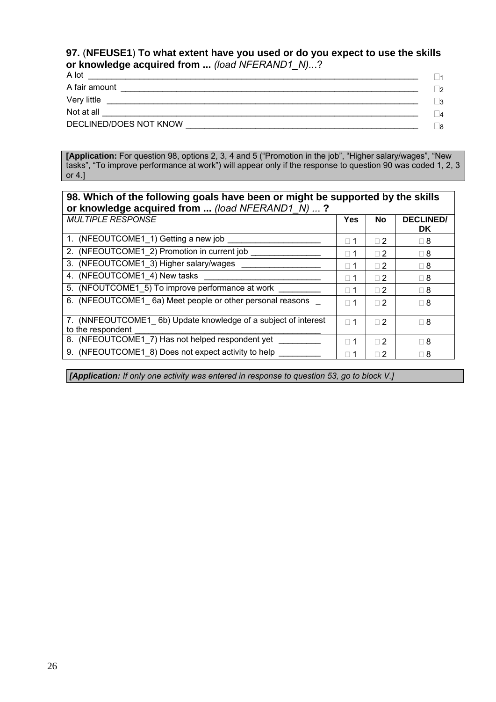### **97.** (**NFEUSE1**) **To what extent have you used or do you expect to use the skills or knowledge acquired from ...** *(load NFERAND1\_N)..*.?

| A lot                                                                                                                              | - 11      |
|------------------------------------------------------------------------------------------------------------------------------------|-----------|
| A fair amount                                                                                                                      | פר        |
| Very little                                                                                                                        | ⊟3        |
| Not at all<br><u> 1990 - Jan Salaman, markanista eta monte eta monte eta monte eta monte eta monte eta monte eta monte eta mon</u> | $\vert$ 4 |
| DECLINED/DOES NOT KNOW                                                                                                             | Πg        |

**[Application:** For question 98, options 2, 3, 4 and 5 ("Promotion in the job", "Higher salary/wages", "New tasks", "To improve performance at work") will appear only if the response to question 90 was coded 1, 2, 3 or 4.]

| 98. Which of the following goals have been or might be supported by the skills<br>or knowledge acquired from  (load NFERAND1_N) ? |            |          |                               |
|-----------------------------------------------------------------------------------------------------------------------------------|------------|----------|-------------------------------|
| <b>MULTIPLE RESPONSE</b>                                                                                                          | Yes        | No       | <b>DECLINED/</b><br><b>DK</b> |
| 1. (NFEOUTCOME1_1) Getting a new job                                                                                              | $\Box$ 1   | $\Box$ 2 | $\sqcap$ 8                    |
| 2. (NFEOUTCOME1 2) Promotion in current job                                                                                       | $\Box$ 1   | $\Box$ 2 | $\Box$ 8                      |
| 3. (NFEOUTCOME1 3) Higher salary/wages                                                                                            | $\Box$ 1   | $\Box$ 2 | $\Box$ 8                      |
| 4. (NFEOUTCOME1_4) New tasks                                                                                                      | $\Box$ 1   | $\Box$ 2 | $\Box$ 8                      |
| 5. (NFOUTCOME1 5) To improve performance at work                                                                                  | $\Box$ 1   | $\Box$ 2 | $\Box$ 8                      |
| 6. (NFEOUTCOME1 6a) Meet people or other personal reasons                                                                         | $\sqcap$ 1 | $\Box$ 2 | $\Box$ 8                      |
| 7. (NNFEOUTCOME1 6b) Update knowledge of a subject of interest<br>to the respondent                                               | $\Box$ 1   | $\Box$ 2 | $\Box$ 8                      |
| 8. (NFEOUTCOME1_7) Has not helped respondent yet                                                                                  | $\Box$ 1   | $\Box$ 2 | $\Box$ 8                      |
| 9. (NFEOUTCOME1 8) Does not expect activity to help                                                                               | $\Box$ 1   | 2<br>П   | $\Box$ 8                      |

*[Application: If only one activity was entered in response to question 53, go to block V.]*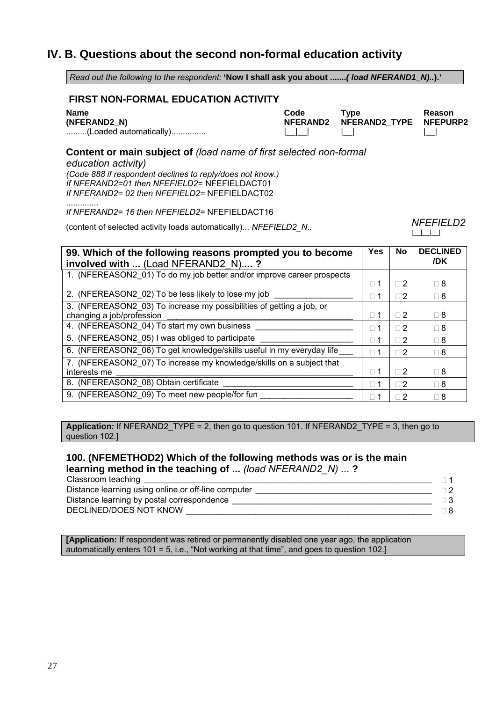### **IV. B. Questions about the second non-formal education activity**

| Read out the following to the respondent: 'Now I shall ask you about  (load NFERAND1_N)).' |                                                                                   |                        |  |
|--------------------------------------------------------------------------------------------|-----------------------------------------------------------------------------------|------------------------|--|
| <b>FIRST NON-FORMAL EDUCATION ACTIVITY</b>                                                 |                                                                                   |                        |  |
|                                                                                            |                                                                                   | Reason<br>NFEPURP2     |  |
|                                                                                            |                                                                                   |                        |  |
|                                                                                            |                                                                                   | <b>NFEFIELD2</b>       |  |
|                                                                                            |                                                                                   |                        |  |
| <b>Yes</b>                                                                                 | <b>No</b>                                                                         | <b>DECLINED</b><br>/DK |  |
| $\Box$ 1                                                                                   | $\square$ 2                                                                       | $\Box$ 8               |  |
| $\square$ 1                                                                                | $\square$ 2                                                                       | $\Box$ 8               |  |
| $\Box$ 1                                                                                   | $\Box$ 2                                                                          | $\Box$ 8               |  |
| $\square$ 1                                                                                | $\square$ 2                                                                       | $\Box$ 8               |  |
| $\square$ 1                                                                                | $\square$ 2                                                                       | $\Box$ 8               |  |
| $\Box$ 1                                                                                   | $\square$ 2                                                                       | $\Box$ 8               |  |
| $\square$ 1                                                                                | $\Box$ 2                                                                          | $\Box$ 8               |  |
|                                                                                            | $\square$ 2                                                                       | $\Box$ 8               |  |
| $\square$ 1                                                                                |                                                                                   |                        |  |
|                                                                                            | <b>Type</b><br>Content or main subject of (load name of first selected non-formal | <b>NFERAND2 TYPE</b>   |  |

**Application***:* If NFERAND2\_TYPE = 2, then go to question 101. If NFERAND2\_TYPE = 3, then go to question 102.]

### **100. (NFEMETHOD2) Which of the following methods was or is the main learning method in the teaching of ...** *(load NFERAND2\_N) ..*. **?**

| Classroom teaching                                  |  |
|-----------------------------------------------------|--|
| Distance learning using online or off-line computer |  |
| Distance learning by postal correspondence          |  |
| DECLINED/DOES NOT KNOW                              |  |

**[Application:** If respondent was retired or permanently disabled one year ago, the application automatically enters 101 = 5, i.e., "Not working at that time", and goes to question 102.]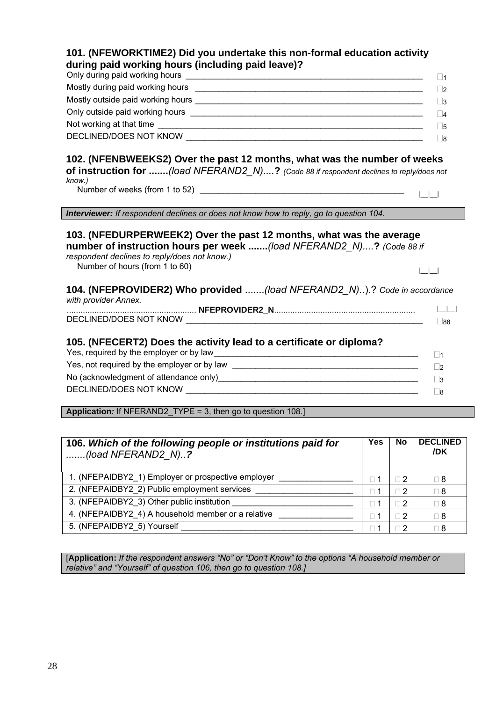| 101. (NFEWORKTIME2) Did you undertake this non-formal education activity                                                                                                                                                     |                                  |
|------------------------------------------------------------------------------------------------------------------------------------------------------------------------------------------------------------------------------|----------------------------------|
| during paid working hours (including paid leave)?                                                                                                                                                                            |                                  |
|                                                                                                                                                                                                                              | $\square$ 1                      |
|                                                                                                                                                                                                                              | $\Box$ 2                         |
|                                                                                                                                                                                                                              | $\square$ 3                      |
|                                                                                                                                                                                                                              | $\Box$ 4                         |
|                                                                                                                                                                                                                              | $\square$ 5                      |
|                                                                                                                                                                                                                              | $\Box$ 8                         |
| 102. (NFENBWEEKS2) Over the past 12 months, what was the number of weeks<br>of instruction for (load NFERAND2_N)? (Code 88 if respondent declines to reply/does not<br>know.)                                                |                                  |
| Interviewer: If respondent declines or does not know how to reply, go to question 104.                                                                                                                                       |                                  |
|                                                                                                                                                                                                                              |                                  |
| 103. (NFEDURPERWEEK2) Over the past 12 months, what was the average<br>number of instruction hours per week (load NFERAND2_N)? (Code 88 if<br>respondent declines to reply/does not know.)<br>Number of hours (from 1 to 60) | $\begin{array}{ccc} \end{array}$ |
| 104. (NFEPROVIDER2) Who provided (load NFERAND2_N)).? Code in accordance                                                                                                                                                     |                                  |
| with provider Annex.                                                                                                                                                                                                         | $\vert \vert$ $\vert$ $\vert$    |
|                                                                                                                                                                                                                              | $\square$ 88                     |
| 105. (NFECERT2) Does the activity lead to a certificate or diploma?                                                                                                                                                          |                                  |
|                                                                                                                                                                                                                              | $\square$ 1                      |
|                                                                                                                                                                                                                              | $\Box$ 2                         |
|                                                                                                                                                                                                                              | $\square$ 3<br>$\square$ 8       |

**Application***:* If NFERAND2\_TYPE = 3, then go to question 108.]

| 106. Which of the following people or institutions paid for<br>(load NFERAND2 $N$ )? | <b>Yes</b>    | No         | <b>DECLINED</b><br>/DK |
|--------------------------------------------------------------------------------------|---------------|------------|------------------------|
| 1. (NFEPAIDBY2_1) Employer or prospective employer                                   | า 1           | $\Box$ 2   | $\Box$ 8               |
| 2. (NFEPAIDBY2_2) Public employment services                                         | $\sqsupset$ 1 | $\Box$ 2   | $\Box$ 8               |
| 3. (NFEPAIDBY2 3) Other public institution                                           |               | $\sqcap 2$ | $\Box$ 8               |
| 4. (NFEPAIDBY2 4) A household member or a relative                                   | $\neg$ 1      | $\Box$     | $\sqcap$ 8             |
| 5. (NFEPAIDBY2 5) Yourself                                                           |               | $\Box$ 2   | Π8                     |

[**Application:** *If the respondent answers "No" or "Don't Know" to the options "A household member or relative" and "Yourself" of question 106, then go to question 108.]*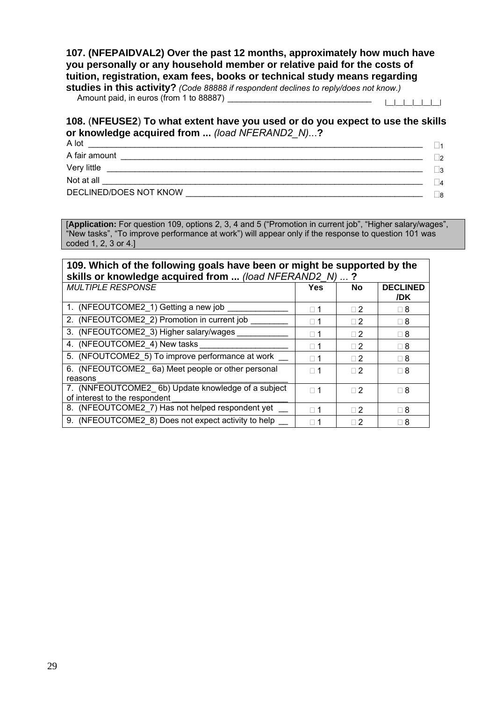### **107. (NFEPAIDVAL2) Over the past 12 months, approximately how much have you personally or any household member or relative paid for the costs of tuition, registration, exam fees, books or technical study means regarding**

**studies in this activity?** *(Code 88888 if respondent declines to reply/does not know.)* Amount paid, in euros (from 1 to 88887) \_\_\_\_\_\_\_\_\_\_\_\_\_\_\_\_\_\_\_\_\_\_\_\_\_\_\_\_\_\_\_ |\_\_|\_\_|\_\_|\_\_|\_\_|\_\_|

### **108.** (**NFEUSE2**) **To what extent have you used or do you expect to use the skills or knowledge acquired from ...** *(load NFERAND2\_N)..*.**?**

A lot \_\_\_\_\_\_\_\_\_\_\_\_\_\_\_\_\_\_\_\_\_\_\_\_\_\_\_\_\_\_\_\_\_\_\_\_\_\_\_\_\_\_\_\_\_\_\_\_\_\_\_\_\_\_\_\_\_\_\_\_\_\_\_\_\_\_\_\_\_\_\_\_ <sup>1</sup> A fair amount \_\_\_\_\_\_\_\_\_\_\_\_\_\_\_\_\_\_\_\_\_\_\_\_\_\_\_\_\_\_\_\_\_\_\_\_\_\_\_\_\_\_\_\_\_\_\_\_\_\_\_\_\_\_\_\_\_\_\_\_\_\_\_\_\_ <sup>2</sup> Very little \_\_\_\_\_\_\_\_\_\_\_\_\_\_\_\_\_\_\_\_\_\_\_\_\_\_\_\_\_\_\_\_\_\_\_\_\_\_\_\_\_\_\_\_\_\_\_\_\_\_\_\_\_\_\_\_\_\_\_\_\_\_\_\_\_\_\_\_ <sup>3</sup> Not at all \_\_\_\_\_\_\_\_\_\_\_\_\_\_\_\_\_\_\_\_\_\_\_\_\_\_\_\_\_\_\_\_\_\_\_\_\_\_\_\_\_\_\_\_\_\_\_\_\_\_\_\_\_\_\_\_\_\_\_\_\_\_\_\_\_\_\_\_\_ <sup>4</sup> DECLINED/DOES NOT KNOW \_\_\_\_\_\_\_\_\_\_\_\_\_\_\_\_\_\_\_\_\_\_\_\_\_\_\_\_\_\_\_\_\_\_\_\_\_\_\_\_\_\_\_\_\_\_\_\_\_\_\_ <sup>8</sup>

[**Application:** For question 109, options 2, 3, 4 and 5 ("Promotion in current job", "Higher salary/wages", "New tasks", "To improve performance at work") will appear only if the response to question 101 was coded 1, 2, 3 or 4.]

| 109. Which of the following goals have been or might be supported by the<br>skills or knowledge acquired from  (load NFERAND2_N) ? |            |          |                        |
|------------------------------------------------------------------------------------------------------------------------------------|------------|----------|------------------------|
| <b>MULTIPLE RESPONSE</b>                                                                                                           | Yes        | No       | <b>DECLINED</b><br>/DK |
| 1. (NFEOUTCOME2 1) Getting a new job                                                                                               | $\Box$ 1   | $\Box$ 2 | $\sqcap$ 8             |
| 2. (NFEOUTCOME2_2) Promotion in current job                                                                                        | $\Box$ 1   | $\Box$ 2 | $\Box$ 8               |
| 3. (NFEOUTCOME2 3) Higher salary/wages                                                                                             | $\Box$ 1   | $\Box$ 2 | $\Box$ 8               |
| 4. (NFEOUTCOME2_4) New tasks                                                                                                       | $\Box$ 1   | $\Box$ 2 | $\Box$ 8               |
| 5. (NFOUTCOME2_5) To improve performance at work                                                                                   | $\Box$ 1   | $\Box$ 2 | $\sqcap$ 8             |
| 6. (NFEOUTCOME2 6a) Meet people or other personal<br>reasons                                                                       | $\Box$ 1   | $\Box$ 2 | $\Box$ 8               |
| 7. (NNFEOUTCOME2 6b) Update knowledge of a subject<br>of interest to the respondent                                                | $\Box$ 1   | $\Box$ 2 | $\Box$ 8               |
| 8. (NFEOUTCOME2_7) Has not helped respondent yet                                                                                   | $\sqcap$ 1 | $\Box$ 2 | ⊟ 8                    |
| 9. (NFEOUTCOME2 8) Does not expect activity to help                                                                                | $\sqcap$ 1 | $\Box$ 2 | $\Box$ 8               |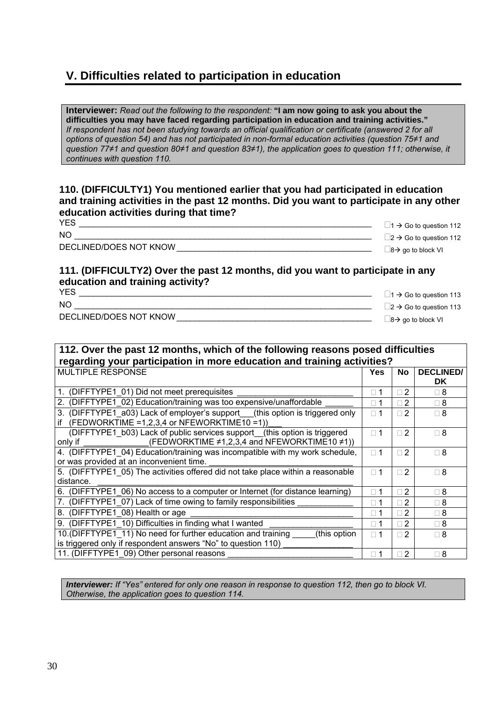### **V. Difficulties related to participation in education**

**Interviewer:** *Read out the following to the respondent:* **"I am now going to ask you about the difficulties you may have faced regarding participation in education and training activities."**  *If respondent has not been studying towards an official qualification or certificate (answered 2 for all options of question 54) and has not participated in non-formal education activities (question 75≠1 and question 77≠1 and question 80≠1 and question 83≠1), the application goes to question 111; otherwise, it continues with question 110.*

### **110. (DIFFICULTY1) You mentioned earlier that you had participated in education and training activities in the past 12 months. Did you want to participate in any other education activities during that time?**

| <b>YES</b>             | $\Box$ 1 $\rightarrow$ Go to question 112 |
|------------------------|-------------------------------------------|
| NO                     | $\Box$ 2 $\rightarrow$ Go to question 112 |
| DECLINED/DOES NOT KNOW | $\Box$ 8 $\rightarrow$ go to block VI     |
|                        |                                           |

### **111. (DIFFICULTY2) Over the past 12 months, did you want to participate in any education and training activity?**

| <b>YES</b>             | $\Box$ 1 $\rightarrow$ Go to question 113 |
|------------------------|-------------------------------------------|
| <b>NC</b>              | $\Box$ 2 $\rightarrow$ Go to question 113 |
| DECLINED/DOES NOT KNOW | $\Box$ 8 $\rightarrow$ go to block VI     |

### **112. Over the past 12 months, which of the following reasons posed difficulties regarding your participation in more education and training activities?**

| <b>MULTIPLE RESPONSE</b>                                                        | Yes        | No             | <b>DECLINED/</b> |
|---------------------------------------------------------------------------------|------------|----------------|------------------|
|                                                                                 |            |                | DK               |
| (DIFFTYPE1 01) Did not meet prerequisites                                       | $\Box$ 1   | $\overline{2}$ | ⊓ 8              |
| (DIFFTYPE1 02) Education/training was too expensive/unaffordable<br>2.          | $\Box$ 1   | $\sqcap 2$     | $\Box$ 8         |
| (DIFFTYPE1 a03) Lack of employer's support (this option is triggered only<br>3. | $\sqcap$ 1 | $\Box$ 2       | $\Box$ 8         |
| (FEDWORKTIME = $1,2,3,4$ or NFEWORKTIME $10 = 1$ ))<br>if                       |            |                |                  |
| (DIFFTYPE1 b03) Lack of public services support (this option is triggered       | $\sqcap$ 1 | $\Box$ 2       | $\sqcap$ 8       |
| (FEDWORKTIME $\neq$ 1,2,3,4 and NFEWORKTIME10 $\neq$ 1))<br>only if             |            |                |                  |
| 4. (DIFFTYPE1 04) Education/training was incompatible with my work schedule,    | $\Box$ 1   | $\Box$ 2       | ∏ 8              |
| or was provided at an inconvenient time.                                        |            |                |                  |
| 5. (DIFFTYPE1 05) The activities offered did not take place within a reasonable | $\Box$ 1   | $\Box$ 2       | $\sqcap$ 8       |
| distance.                                                                       |            |                |                  |
| 6. (DIFFTYPE1 06) No access to a computer or Internet (for distance learning)   | $\Box$ 1   | $\Box$ 2       | $\sqcap$ 8       |
| 7. (DIFFTYPE1 07) Lack of time owing to family responsibilities                 | $\sqcap$ 1 | $\sqcap 2$     | 8 □              |
| 8. (DIFFTYPE1 08) Health or age                                                 | $\Box$ 1   | $\Box$ 2       | $\Box$ 8         |
| 9. (DIFFTYPE1 10) Difficulties in finding what I wanted                         | $\Box$ 1   | $\Box$ 2       | $\sqcap$ 8       |
| 10. (DIFFTYPE1 11) No need for further education and training<br>(this option   | $\sqcap$ 1 | $\Box$ 2       | $\sqcap$ 8       |
| is triggered only if respondent answers "No" to question 110)                   |            |                |                  |
| 11. (DIFFTYPE1 09) Other personal reasons                                       | $\Box$ 1   | $\Box$ 2       | $\Box$ 8         |

*Interviewer: If "Yes" entered for only one reason in response to question 112, then go to block VI. Otherwise, the application goes to question 114.*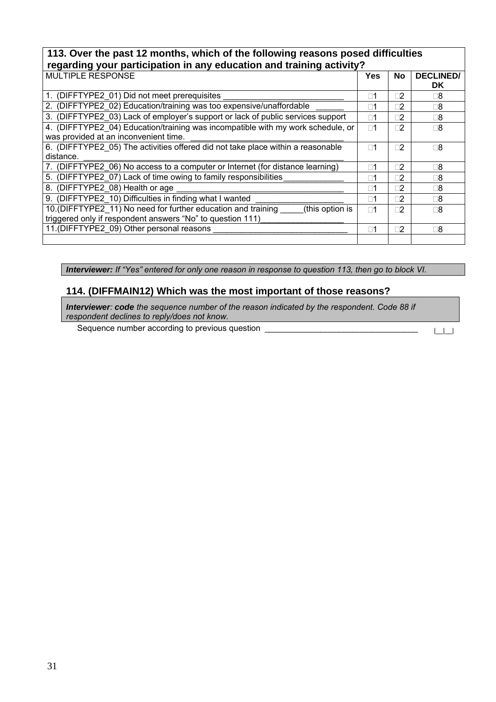### **113. Over the past 12 months, which of the following reasons posed difficulties regarding your participation in any education and training activity?**

| $1$ vyaraniy your participation in any caucation and training activity i         |             |     |                  |
|----------------------------------------------------------------------------------|-------------|-----|------------------|
| MULTIPLE RESPONSE                                                                | Yes         | No  | <b>DECLINED/</b> |
|                                                                                  |             |     | <b>DK</b>        |
| 1. (DIFFTYPE2 01) Did not meet prerequisites                                     | $\Box$ 1    | ־2  | ⊺8               |
| 2. (DIFFTYPE2 02) Education/training was too expensive/unaffordable              | $\Box$ 1    | 72  | ר8               |
| 3. (DIFFTYPE2 03) Lack of employer's support or lack of public services support  | $\Box$ 1    | ־2  | ר8               |
| 4. (DIFFTYPE2 04) Education/training was incompatible with my work schedule, or  | $\square$ 1 | ־2  | ∃8               |
| was provided at an inconvenient time.                                            |             |     |                  |
| 6. (DIFFTYPE2 05) The activities offered did not take place within a reasonable  | $\Box$ 1    | ־2  | ר8               |
| distance.                                                                        |             |     |                  |
| 7. (DIFFTYPE2 06) No access to a computer or Internet (for distance learning)    | $\Box$ 1    | 72  | ר8               |
| 5. (DIFFTYPE2 07) Lack of time owing to family responsibilities                  | $\Box$ 1    | ־2  | ר8               |
| 8. (DIFFTYPE2_08) Health or age                                                  | $\Box$ 1    | ־2  | ר8               |
| 9. (DIFFTYPE2 10) Difficulties in finding what I wanted                          | $\square$ 1 | ־2  | ר8               |
| 10. (DIFFTYPE2 11) No need for further education and training<br>(this option is | $\square$ 1 | า2∶ | ∃8               |
| triggered only if respondent answers "No" to question 111)                       |             |     |                  |
| 11. (DIFFTYPE2 09) Other personal reasons                                        | $\Box$ 1    | 72  | ר8               |
|                                                                                  |             |     |                  |

*Interviewer: If "Yes" entered for only one reason in response to question 113, then go to block VI.*

### **114. (DIFFMAIN12) Which was the most important of those reasons?**

*Interviewer: code the sequence number of the reason indicated by the respondent. Code 88 if respondent declines to reply/does not know.*

Sequence number according to previous question \_\_\_\_\_\_\_\_\_\_\_\_\_\_\_\_\_\_\_\_\_\_\_\_\_\_\_\_\_\_\_\_\_ |\_\_|\_\_|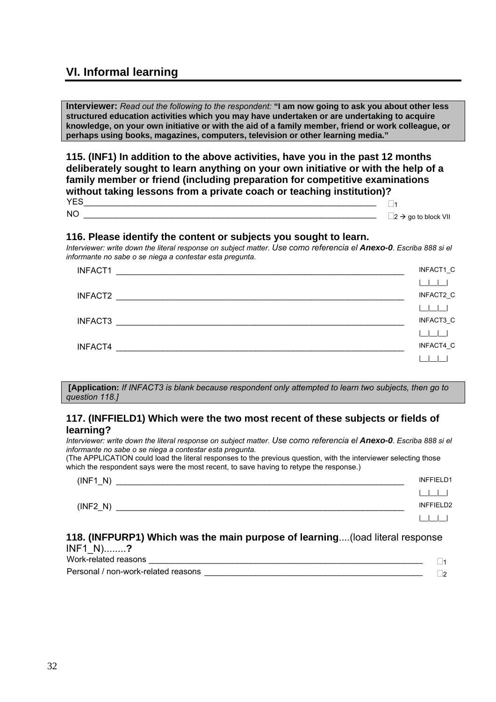### **VI. Informal learning**

**Interviewer:** *Read out the following to the respondent:* **"I am now going to ask you about other less structured education activities which you may have undertaken or are undertaking to acquire knowledge, on your own initiative or with the aid of a family member, friend or work colleague, or perhaps using books, magazines, computers, television or other learning media."** 

**115. (INF1) In addition to the above activities, have you in the past 12 months deliberately sought to learn anything on your own initiative or with the help of a family member or friend (including preparation for competitive examinations without taking lessons from a private coach or teaching institution)?**  YES\_\_\_\_\_\_\_\_\_\_\_\_\_\_\_\_\_\_\_\_\_\_\_\_\_\_\_\_\_\_\_\_\_\_\_\_\_\_\_\_\_\_\_\_\_\_\_\_\_\_\_\_\_\_\_\_\_\_\_\_\_\_\_ <sup>1</sup>

 $\Box$ 2  $\rightarrow$  go to block VII

#### **116. Please identify the content or subjects you sought to learn.**

*Interviewer: write down the literal response on subject matter. Use como referencia el Anexo-0. Escriba 888 si el informante no sabe o se niega a contestar esta pregunta.*

| INFACT1                                                                                                                         | INFACT1 C |
|---------------------------------------------------------------------------------------------------------------------------------|-----------|
|                                                                                                                                 |           |
| INFACT2<br><u> 1980 - Jan Berlin, margaret eta biztanleria eta biztanleria eta biztanleria eta biztanleria eta biztanleria </u> | INFACT2_C |
|                                                                                                                                 |           |
| INFACT3<br><u> 1980 - Johann Stein, margaret eta izan zen erroman zen zen zen zen.</u>                                          | INFACT3_C |
|                                                                                                                                 |           |
| INFACT4                                                                                                                         | INFACT4_C |
|                                                                                                                                 |           |

 **[Application:** *If INFACT3 is blank because respondent only attempted to learn two subjects, then go to question 118.]*

### **117. (INFFIELD1) Which were the two most recent of these subjects or fields of learning?**

*Interviewer: write down the literal response on subject matter. Use como referencia el Anexo-0. Escriba 888 si el informante no sabe o se niega a contestar esta pregunta.* 

(The APPLICATION could load the literal responses to the previous question, with the interviewer selecting those which the respondent says were the most recent, to save having to retype the response.)

| N'<br>(INF1)<br>-  | <b>INFFIELD1</b> |
|--------------------|------------------|
|                    |                  |
| (INF2 N)<br>$\sim$ | INFFIELD2        |
|                    |                  |

#### **118. (INFPURP1) Which was the main purpose of learning**....(load literal response INF1\_N)........**?**

Work-related reasons \_\_\_\_\_\_\_\_\_\_\_\_\_\_\_\_\_\_\_\_\_\_\_\_\_\_\_\_\_\_\_\_\_\_\_\_\_\_\_\_\_\_\_\_\_\_\_\_\_\_\_\_\_\_\_\_\_\_\_ <sup>1</sup>

Personal / non-work-related reasons \_\_\_\_\_\_\_\_\_\_\_\_\_\_\_\_\_\_\_\_\_\_\_\_\_\_\_\_\_\_\_\_\_\_\_\_\_\_\_\_\_\_\_\_\_\_\_ 2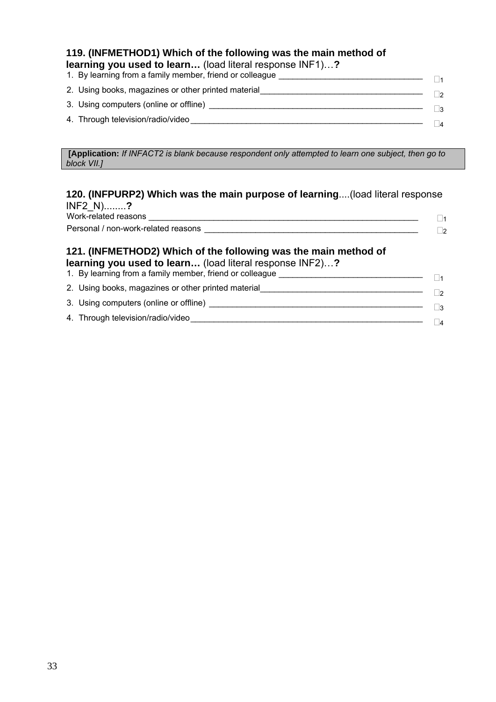### **119. (INFMETHOD1) Which of the following was the main method of learning you used to learn…** (load literal response INF1)…**?**

| 1. By learning from a family member, friend or colleague | $\vert$ 1 |
|----------------------------------------------------------|-----------|
| 2. Using books, magazines or other printed material      | $\vert$ 2 |
| 3. Using computers (online or offline)                   | ∃3        |
| 4. Through television/radio/video                        |           |
|                                                          |           |

**[Application:** *If INFACT2 is blank because respondent only attempted to learn one subject, then go to block VII.]*

### **120. (INFPURP2) Which was the main purpose of learning**....(load literal response INF2\_N)........**?**

| Work-related reasons                |  |
|-------------------------------------|--|
| Personal / non-work-related reasons |  |

### **121. (INFMETHOD2) Which of the following was the main method of learning you used to learn…** (load literal response INF2)…**?**

- 1. By learning from a family member, friend or colleague \_\_\_\_\_\_\_\_\_\_\_\_\_\_\_\_\_\_\_\_\_\_\_\_
- 2. Using books, magazines or other printed material\_\_\_\_\_\_\_\_\_\_\_\_\_\_\_\_\_\_\_\_\_\_\_\_\_\_\_\_\_\_ 3. Using computers (online or offline)  $\Box$ 4. Through television/radio/video\_\_\_\_\_\_\_\_\_\_\_\_\_\_\_\_\_\_\_\_\_\_\_\_\_\_\_\_\_\_\_\_\_\_\_\_\_\_\_\_\_\_\_\_\_\_\_\_\_\_ <sup>4</sup>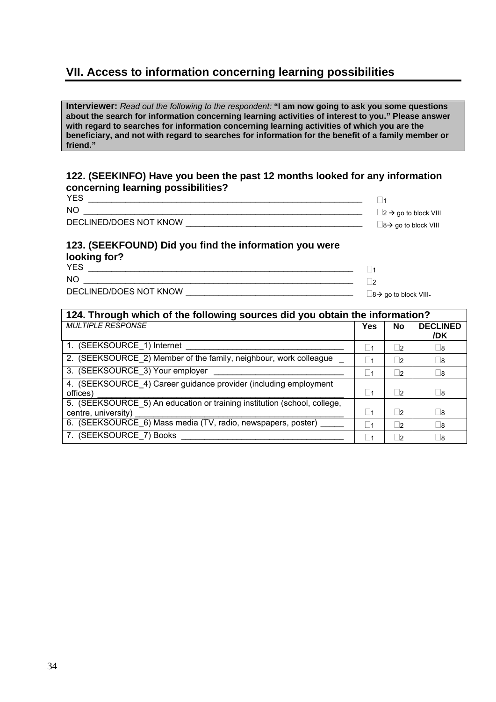### **VII. Access to information concerning learning possibilities**

**Interviewer:** *Read out the following to the respondent:* **"I am now going to ask you some questions about the search for information concerning learning activities of interest to you." Please answer with regard to searches for information concerning learning activities of which you are the beneficiary, and not with regard to searches for information for the benefit of a family member or friend."** 

### **122. (SEEKINFO) Have you been the past 12 months looked for any information concerning learning possibilities?**

| <b>YES</b>             |                                         |
|------------------------|-----------------------------------------|
| NO                     | $\Box$ 2 $\rightarrow$ go to block VIII |
| DECLINED/DOES NOT KNOW | $\Box$ 8 $\rightarrow$ go to block VIII |

### **123. (SEEKFOUND) Did you find the information you were looking for?**

YES \_\_\_\_\_\_\_\_\_\_\_\_\_\_\_\_\_\_\_\_\_\_\_\_\_\_\_\_\_\_\_\_\_\_\_\_\_\_\_\_\_\_\_\_\_\_\_\_\_\_\_\_\_\_\_\_\_ <sup>1</sup>  $N$ O  $\qquad \qquad \qquad \qquad \Box$ DECLINED/DOES NOT KNOW \_\_\_\_\_\_\_\_\_\_\_\_\_\_\_\_\_\_\_\_\_\_\_\_\_\_\_\_\_\_\_\_\_\_\_\_ <sup>8</sup>Æ go to block VIII

| 124. Through which of the following sources did you obtain the information?                     |                   |           |                        |
|-------------------------------------------------------------------------------------------------|-------------------|-----------|------------------------|
| <b>MULTIPLE RESPONSE</b>                                                                        | Yes               | <b>No</b> | <b>DECLINED</b><br>/DK |
| 1. (SEEKSOURCE_1) Internet                                                                      | l 11              | $\vert$ 2 | $\sqcup$ 8             |
| 2. (SEEKSOURCE 2) Member of the family, neighbour, work colleague                               | l 11              | $\vert$ 2 | 8                      |
| 3. (SEEKSOURCE_3) Your employer                                                                 | 11                | $\vert$ 2 | $\sqcup$ 8             |
| 4. (SEEKSOURCE_4) Career guidance provider (including employment<br>offices)                    | $\vert$ $\vert$ 1 | $\vert$ 2 | 8                      |
| 5. (SEEKSOURCE_5) An education or training institution (school, college,<br>centre, university) | 1                 | $\vert$ 2 | 8                      |
| 6. (SEEKSOURCE_6) Mass media (TV, radio, newspapers, poster) _                                  | 1                 | $\vert$ 2 | 8                      |
| 7. (SEEKSOURCE 7) Books                                                                         | l 11              | $\vert$ 2 | 8                      |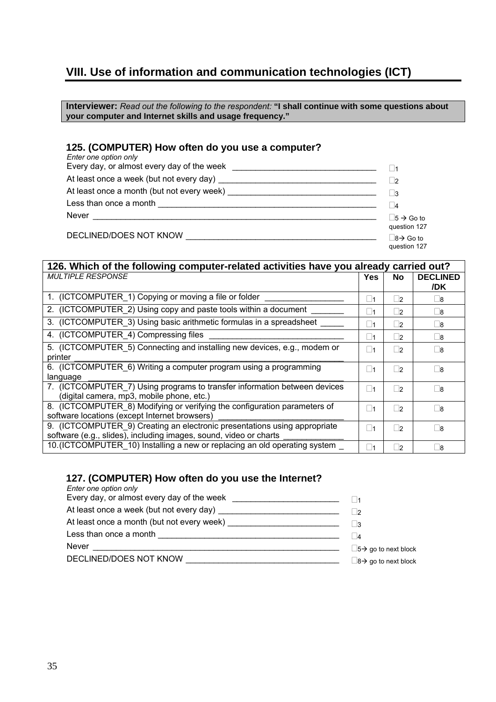### **VIII. Use of information and communication technologies (ICT)**

**Interviewer:** *Read out the following to the respondent:* **"I shall continue with some questions about your computer and Internet skills and usage frequency."** 

### **125. (COMPUTER) How often do you use a computer?**

| Enter one option only                                                                                                                                                                                                          |                         |
|--------------------------------------------------------------------------------------------------------------------------------------------------------------------------------------------------------------------------------|-------------------------|
| Every day, or almost every day of the week                                                                                                                                                                                     |                         |
|                                                                                                                                                                                                                                | - 12                    |
|                                                                                                                                                                                                                                | $\sqcup$ 3              |
|                                                                                                                                                                                                                                | 4                       |
| Never                                                                                                                                                                                                                          | $  5 \rightarrow$ Go to |
|                                                                                                                                                                                                                                | question 127            |
| DECLINED/DOES NOT KNOW NOT ALL AND A CONTROLLER CONTROLLER CONTROLLER CONTROLLER CONTROLLER CONTROLLER CONTROLLER CONTROLLER CONTROLLER CONTROLLER CONTROLLER CONTROLLER CONTROLLER CONTROLLER CONTROLLER CONTROLLER CONTROLLE | $8 \rightarrow$ Go to   |
|                                                                                                                                                                                                                                | question 127            |

| 126. Which of the following computer-related activities have you already carried out?                                                          |                   |           |                        |
|------------------------------------------------------------------------------------------------------------------------------------------------|-------------------|-----------|------------------------|
| <b>MULTIPLE RESPONSE</b>                                                                                                                       | <b>Yes</b>        | <b>No</b> | <b>DECLINED</b><br>/DK |
| 1. (ICTCOMPUTER_1) Copying or moving a file or folder                                                                                          | ∣ ∣1              | $\vert$ 2 | - 18                   |
| 2. (ICTCOMPUTER_2) Using copy and paste tools within a document                                                                                | 1                 | $\vert$ 2 | 8                      |
| 3. (ICTCOMPUTER 3) Using basic arithmetic formulas in a spreadsheet                                                                            | $\square$ 1       | $\vert$ 2 | 8                      |
| 4. (ICTCOMPUTER 4) Compressing files                                                                                                           | 1                 | $\vert$ 2 | 8                      |
| 5. (ICTCOMPUTER 5) Connecting and installing new devices, e.g., modem or<br>printer                                                            | ∣ ∣1              | $\vert$ 2 | ∣ ∣8                   |
| 6. (ICTCOMPUTER 6) Writing a computer program using a programming<br>language                                                                  | ∣ ∣1              | $\vert$ 2 | Π8                     |
| 7. (ICTCOMPUTER 7) Using programs to transfer information between devices<br>(digital camera, mp3, mobile phone, etc.)                         | $\vert$ $\vert$ 1 | $\Box$ 2  | ∣ ∣8                   |
| 8. (ICTCOMPUTER 8) Modifying or verifying the configuration parameters of<br>software locations (except Internet browsers)                     | ∣ ∣1              | $\vert$ 2 | 8                      |
| 9. (ICTCOMPUTER 9) Creating an electronic presentations using appropriate<br>software (e.g., slides), including images, sound, video or charts | ∣ ∣1              | $\vert$   | 8                      |
| 10. (ICTCOMPUTER_10) Installing a new or replacing an old operating system _                                                                   | $\square$ 1       | $\vert$ 2 | $\square$ 8            |

### **127. (COMPUTER) How often do you use the Internet?**

| Enter one option only                                                                                                                 |                                         |
|---------------------------------------------------------------------------------------------------------------------------------------|-----------------------------------------|
| Every day, or almost every day of the week ____________________________                                                               |                                         |
|                                                                                                                                       |                                         |
| At least once a month (but not every week) _________________________                                                                  |                                         |
|                                                                                                                                       | 4                                       |
| <b>Never</b><br><u> 1990 - Jan Sterling von Berling von Berling von Berling von Berling von Berling von Berling von Berling von B</u> | $\Box$ 5 $\rightarrow$ go to next block |
|                                                                                                                                       | $\Box$ 8 $\rightarrow$ go to next block |
|                                                                                                                                       |                                         |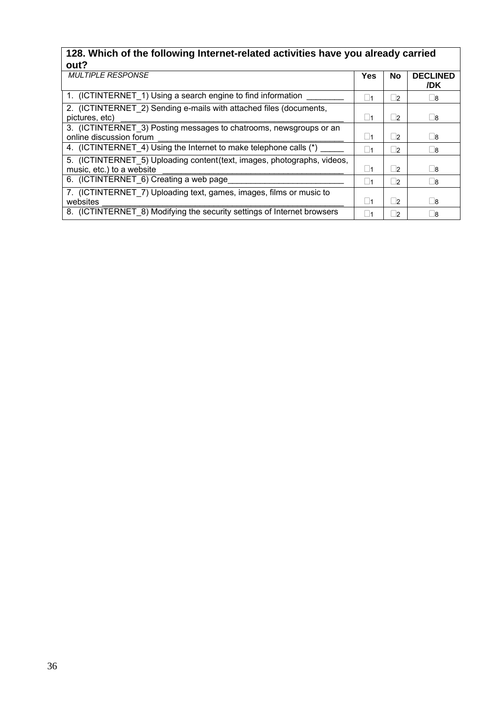### **128. Which of the following Internet-related activities have you already carried out?**

| .                                                                                                     |           |           |                        |
|-------------------------------------------------------------------------------------------------------|-----------|-----------|------------------------|
| <b>MULTIPLE RESPONSE</b>                                                                              | Yes       | <b>No</b> | <b>DECLINED</b><br>/DK |
| 1. (ICTINTERNET 1) Using a search engine to find information                                          | 1         | $\vert$ 2 | $\sqcup$ 8             |
| 2. (ICTINTERNET 2) Sending e-mails with attached files (documents,<br>pictures, etc)                  | l 11      | $\vert$ 2 | $\sqcup$ 8             |
| 3. (ICTINTERNET_3) Posting messages to chatrooms, newsgroups or an<br>online discussion forum         | $\vert$ 1 | $\vert$ 2 | 8                      |
| 4. (ICTINTERNET 4) Using the Internet to make telephone calls (*)                                     | 1         | $\vert$ 2 | $\sqcup$ 8             |
| 5. (ICTINTERNET_5) Uploading content (text, images, photographs, videos,<br>music, etc.) to a website | 1         | $\vert$ 2 | 8                      |
| 6. (ICTINTERNET_6) Creating a web page                                                                | 1         | $\vert$ 2 | $\sqcup$ 8             |
| 7. (ICTINTERNET_7) Uploading text, games, images, films or music to                                   |           |           |                        |
| websites                                                                                              | $\vert$ 1 | $\vert$   | 8                      |
| 8. (ICTINTERNET 8) Modifying the security settings of Internet browsers                               | ∣ 1       | $\vert$   | 8                      |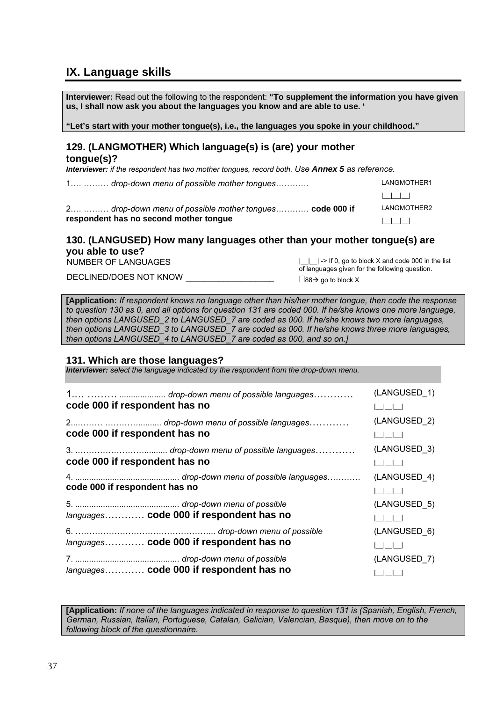### **IX. Language skills**

**Interviewer:** Read out the following to the respondent: **"To supplement the information you have given us, I shall now ask you about the languages you know and are able to use. ' "Let's start with your mother tongue(s), i.e., the languages you spoke in your childhood." 129. (LANGMOTHER) Which language(s) is (are) your mother tongue(s)?**  *Interviewer: if the respondent has two mother tongues, record both. Use Annex 5 as reference.* 1.… ……… *drop-down menu of possible mother tongues*………… LANGMOTHER1 |\_\_|\_\_|\_\_| 2.… ……… *drop-down menu of possible mother tongues*………… **code 000 if respondent has no second mother tongue** LANGMOTHER2 |\_\_|\_\_|\_\_| **130. (LANGUSED) How many languages other than your mother tongue(s) are you able to use?**  NUMBER OF LANGUAGES |\_\_|\_\_| -> If 0, go to block X and code 000 in the list

DECLINED/DOES NOT KNOW  $\frac{1}{\sqrt{1-\frac{1}{2}}}\sqrt{1-\frac{1}{2}}$  and to block X

of languages given for the following question.

**[Application:** *If respondent knows no language other than his/her mother tongue, then code the response to question 130 as 0, and all options for question 131 are coded 000. If he/she knows one more language, then options LANGUSED\_2 to LANGUSED\_7 are coded as 000. If he/she knows two more languages, then options LANGUSED\_3 to LANGUSED\_7 are coded as 000. If he/she knows three more languages, then options LANGUSED\_4 to LANGUSED\_7 are coded as 000, and so on.]*

### **131. Which are those languages?**

*Interviewer: select the language indicated by the respondent from the drop-down menu.*

| code 000 if respondent has no |                                         | (LANGUSED 1)           |
|-------------------------------|-----------------------------------------|------------------------|
| code 000 if respondent has no |                                         | (LANGUSED 2)           |
| code 000 if respondent has no |                                         | (LANGUSED 3)           |
| code 000 if respondent has no |                                         | (LANGUSED 4)<br>1111   |
|                               | languages code 000 if respondent has no | (LANGUSED 5)           |
|                               | languages code 000 if respondent has no | (LANGUSED 6)           |
|                               | languages code 000 if respondent has no | (LANGUSED 7)<br>$\Box$ |

**[Application:** *If none of the languages indicated in response to question 131 is (Spanish, English, French, German, Russian, Italian, Portuguese, Catalan, Galician, Valencian, Basque), then move on to the following block of the questionnaire.*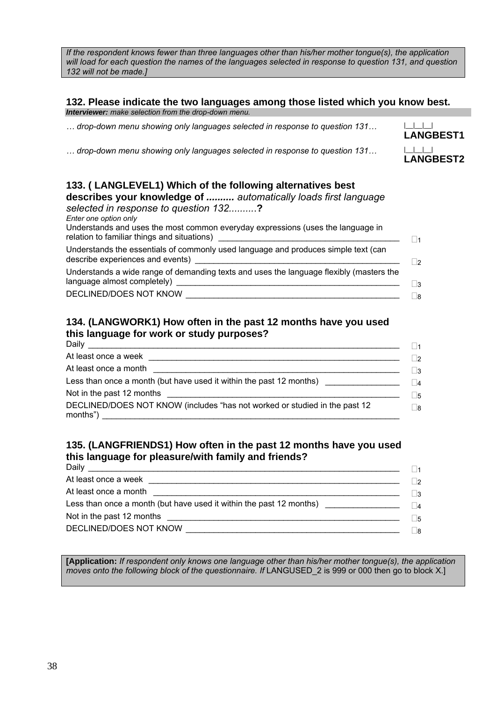*If the respondent knows fewer than three languages other than his/her mother tongue(s), the application will load for each question the names of the languages selected in response to question 131, and question 132 will not be made.]* 

#### **132. Please indicate the two languages among those listed which you know best.**  *Interviewer: make selection from the drop-down menu.*

**LANGBEST1**

**LANGBEST2**

*… drop-down menu showing only languages selected in response to question 131…* |\_\_|\_\_|\_\_|

*… drop-down menu showing only languages selected in response to question 131…* |\_\_|\_\_|\_\_|

| 133. (LANGLEVEL1) Which of the following alternatives best<br>describes your knowledge of  automatically loads first language<br>selected in response to question 132?<br>Enter one option only<br>Understands and uses the most common everyday expressions (uses the language in<br>relation to familiar things and situations) |              |
|-----------------------------------------------------------------------------------------------------------------------------------------------------------------------------------------------------------------------------------------------------------------------------------------------------------------------------------|--------------|
| Understands the essentials of commonly used language and produces simple text (can<br>describe experiences and events)                                                                                                                                                                                                            | 2            |
| Understands a wide range of demanding texts and uses the language flexibly (masters the<br>language almost completely) _<br>DECLINED/DOES NOT KNOW                                                                                                                                                                                | ∣ ¦3<br>∣ ∣8 |
|                                                                                                                                                                                                                                                                                                                                   |              |

### **134. (LANGWORK1) How often in the past 12 months have you used this language for work or study purposes?**

|                                                                                   | $\vert$   1 |
|-----------------------------------------------------------------------------------|-------------|
|                                                                                   | $\Box$      |
|                                                                                   | $\Box$ 3    |
| Less than once a month (but have used it within the past 12 months) _____________ | $\Box$ 4    |
|                                                                                   | $\square$ 5 |
| DECLINED/DOES NOT KNOW (includes "has not worked or studied in the past 12        | $\Box$ 8    |

### **135. (LANGFRIENDS1) How often in the past 12 months have you used this language for pleasure/with family and friends?**

|                                                                                   | $\vert$   1 |
|-----------------------------------------------------------------------------------|-------------|
|                                                                                   | ி⊇          |
|                                                                                   | $\Box$ 3    |
| Less than once a month (but have used it within the past 12 months) _____________ | $ _4$       |
|                                                                                   | $\Box$ 5    |
|                                                                                   | Πя          |
|                                                                                   |             |

**[Application:** *If respondent only knows one language other than his/her mother tongue(s), the application moves onto the following block of the questionnaire. If LANGUSED* 2 is 999 or 000 then go to block X.]

38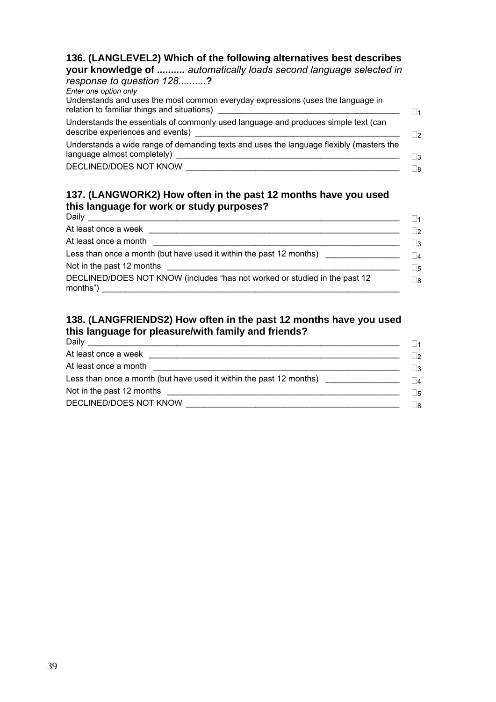### **136. (LANGLEVEL2) Which of the following alternatives best describes**

**your knowledge of** *.......... automatically loads second language selected in response to question 128.........*.**?** 

| Enter one option only<br>Understands and uses the most common everyday expressions (uses the language in                                                                                                                                                                                                             |                |
|----------------------------------------------------------------------------------------------------------------------------------------------------------------------------------------------------------------------------------------------------------------------------------------------------------------------|----------------|
| Understands the essentials of commonly used language and produces simple text (can<br>describe experiences and events) example and the state of the state of the state of the state of the state of the state of the state of the state of the state of the state of the state of the state of the state of the stat | $\overline{2}$ |
| Understands a wide range of demanding texts and uses the language flexibly (masters the                                                                                                                                                                                                                              | $\mathbf{R}$   |
| DECLINED/DOES NOT KNOW                                                                                                                                                                                                                                                                                               | - 18           |

### **137. (LANGWORK2) How often in the past 12 months have you used this language for work or study purposes?**

| Daily                                                                                                                                 | $\vert$ 1 |
|---------------------------------------------------------------------------------------------------------------------------------------|-----------|
|                                                                                                                                       | $\Box$ 2  |
| At least once a month<br><u> 1980 - Jan Stein Harry Harry Harry Harry Harry Harry Harry Harry Harry Harry Harry Harry Harry Harry</u> | $\Box$ 3  |
| Less than once a month (but have used it within the past 12 months)                                                                   | $\Box$ 4  |
|                                                                                                                                       | $\Box$ 5  |
| DECLINED/DOES NOT KNOW (includes "has not worked or studied in the past 12                                                            | ∏8        |

### **138. (LANGFRIENDS2) How often in the past 12 months have you used this language for pleasure/with family and friends?**

| Daily                                                               | $\vert$ $\vert$ 1 |
|---------------------------------------------------------------------|-------------------|
| At least once a week<br><u> 1986 - Jan Samuel Barbara, martin a</u> | $\Box$            |
| At least once a month                                               | $\Box$ 3          |
| Less than once a month (but have used it within the past 12 months) | $\Box$            |
|                                                                     | $\Box$ 5          |
| DECLINED/DOES NOT KNOW                                              | Πg                |
|                                                                     |                   |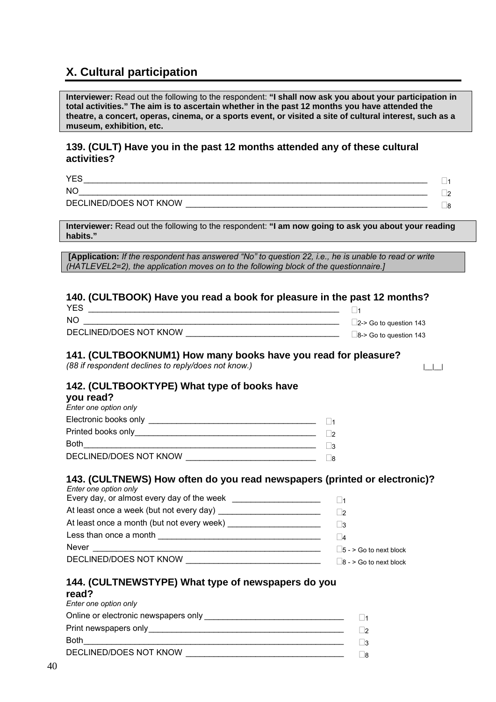### **X. Cultural participation**

**Interviewer:** Read out the following to the respondent: **"I shall now ask you about your participation in total activities." The aim is to ascertain whether in the past 12 months you have attended the theatre, a concert, operas, cinema, or a sports event, or visited a site of cultural interest, such as a museum, exhibition, etc.** 

### **139. (CULT) Have you in the past 12 months attended any of these cultural activities?**

YES\_\_\_\_\_\_\_\_\_\_\_\_\_\_\_\_\_\_\_\_\_\_\_\_\_\_\_\_\_\_\_\_\_\_\_\_\_\_\_\_\_\_\_\_\_\_\_\_\_\_\_\_\_\_\_\_\_\_\_\_\_\_\_\_\_\_\_\_\_\_\_\_\_\_ <sup>1</sup>  $NO_{\_$ 

DECLINED/DOES NOT KNOW \_\_\_\_\_\_\_\_\_\_\_\_\_\_\_\_\_\_\_\_\_\_\_\_\_\_\_\_\_\_\_\_\_\_\_\_\_\_\_\_\_\_\_\_\_\_\_\_\_\_\_\_ <sup>8</sup>

**Interviewer:** Read out the following to the respondent: **"I am now going to ask you about your reading habits."** 

**[Application:** *If the respondent has answered "No" to question 22, i.e., he is unable to read or write (HATLEVEL2=2), the application moves on to the following block of the questionnaire.]*

### **140. (CULTBOOK) Have you read a book for pleasure in the past 12 months?**

| <b>YES</b>             |                               |
|------------------------|-------------------------------|
| <b>NO</b>              | $\Box$ 2-> Go to question 143 |
| DECLINED/DOES NOT KNOW | $\Box$ 8-> Go to question 143 |

#### **141. (CULTBOOKNUM1) How many books have you read for pleasure?**

*(88 if respondent declines to reply/does not know.)*  $| \cdot |$ 

### **142. (CULTBOOKTYPE) What type of books have**

#### **you read?**

| $\vert$ 1    |
|--------------|
| $\vert$ 2    |
| $\mathbf{R}$ |
| - 18         |
|              |

### **143. (CULTNEWS) How often do you read newspapers (printed or electronic)?**

| Enter one option only                                                                                               |                               |
|---------------------------------------------------------------------------------------------------------------------|-------------------------------|
|                                                                                                                     |                               |
|                                                                                                                     |                               |
|                                                                                                                     | - 13                          |
| Less than once a month                                                                                              | $\vert$ 4                     |
| <b>Never</b>                                                                                                        | $\Box$ 5 - > Go to next block |
| DECLINED/DOES NOT KNOW<br>the control of the control of the control of the control of the control of the control of | $\Box$ 8 - > Go to next block |

#### **144. (CULTNEWSTYPE) What type of newspapers do you read?**

| reau r                                |              |
|---------------------------------------|--------------|
| Enter one option only                 |              |
| Online or electronic newspapers only  | $\vert$ 1    |
| Print newspapers only _______________ | $\sqrt{2}$   |
| <b>Both</b>                           | $\mathbf{R}$ |
| DECLINED/DOES NOT KNOW                | - 18         |
|                                       |              |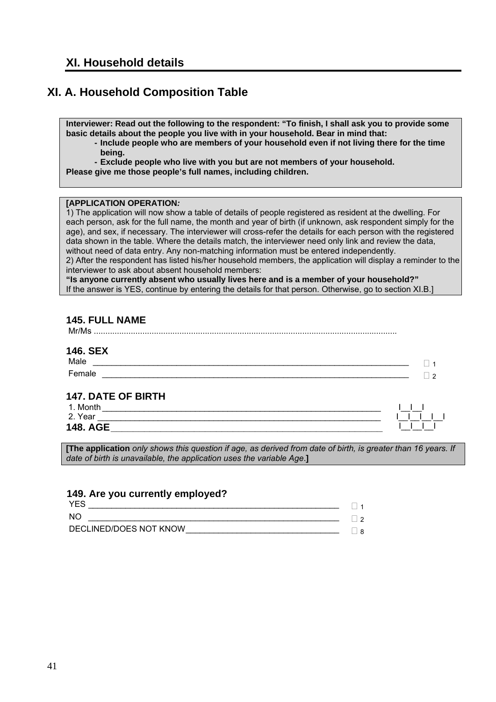### **XI. A. Household Composition Table**

**Interviewer: Read out the following to the respondent: "To finish, I shall ask you to provide some basic details about the people you live with in your household. Bear in mind that:** 

- **Include people who are members of your household even if not living there for the time being.**
- **Exclude people who live with you but are not members of your household.**

**Please give me those people's full names, including children.** 

#### **[APPLICATION OPERATION***:*

1) The application will now show a table of details of people registered as resident at the dwelling. For each person, ask for the full name, the month and year of birth (if unknown, ask respondent simply for the age), and sex, if necessary. The interviewer will cross-refer the details for each person with the registered data shown in the table. Where the details match, the interviewer need only link and review the data, without need of data entry. Any non-matching information must be entered independently. 2) After the respondent has listed his/her household members, the application will display a reminder to the

interviewer to ask about absent household members:

**"Is anyone currently absent who usually lives here and is a member of your household?"** If the answer is YES, continue by entering the details for that person. Otherwise, go to section XI.B.]

| 145. FULL NAME<br>Mr/Ms   |    |
|---------------------------|----|
| <b>146. SEX</b><br>Male   |    |
|                           |    |
| Female                    | ່າ |
| <b>147. DATE OF BIRTH</b> |    |
|                           |    |
| 2. Year                   |    |
| <b>148. AGE</b>           |    |

**[The application** *only shows this question if age, as derived from date of birth, is greater than 16 years. If date of birth is unavailable, the application uses the variable Age*.**]**

### **149. Are you currently employed?**

| <b>YFS</b>             |        |
|------------------------|--------|
| NC                     | $\sim$ |
| DECLINED/DOES NOT KNOW | R      |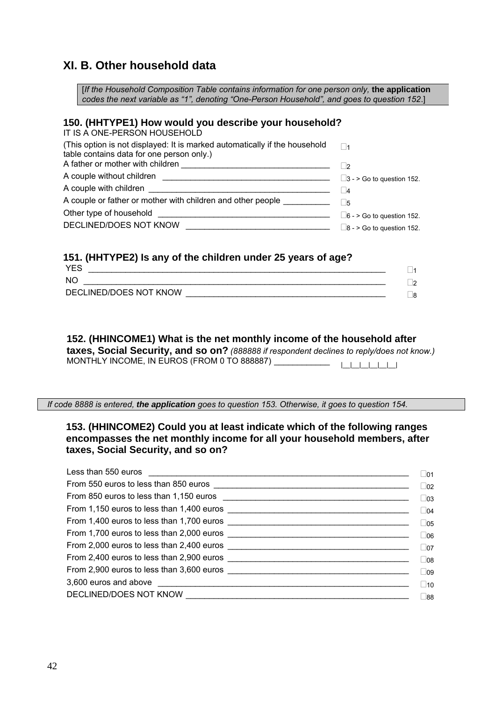### **XI. B. Other household data**

[*If the Household Composition Table contains information for one person only,* **the application** *codes the next variable as "1", denoting "One-Person Household", and goes to question 152*.]

#### **150. (HHTYPE1) How would you describe your household?**

IT IS A ONE-PERSON HOUSEHOLD (This option is not displayed: It is marked automatically if the household table contains data for one person only.)  $\Box$ 1 A father or mother with children  $\Box$ <br>A couple without children  $\Box$ <br>A couple without children  $\Box$ A couple with children \_\_\_\_\_\_\_\_\_\_\_\_\_\_\_\_\_\_\_\_\_\_\_\_\_\_\_\_\_\_\_\_\_\_\_\_\_\_\_ <sup>4</sup> A couple or father or mother with children and other people  $\Box$ Other type of household \_\_\_\_\_\_\_\_\_\_\_\_\_\_\_\_\_\_\_\_\_\_\_\_\_\_\_\_\_\_\_\_\_\_\_\_\_ 6 - > Go to question 152. DECLINED/DOES NOT KNOW \_\_\_\_\_\_\_\_\_\_\_\_\_\_\_\_\_\_\_\_\_\_\_\_\_\_\_\_\_\_\_ 8 - > Go to question 152.

### **151. (HHTYPE2) Is any of the children under 25 years of age?**

| <b>YES</b>             |    |
|------------------------|----|
| <b>NC</b>              | ∃ว |
| DECLINED/DOES NOT KNOW | ∃8 |
|                        |    |

**152. (HHINCOME1) What is the net monthly income of the household after taxes, Social Security, and so on?** *(888888 if respondent declines to reply/does not know.)* MONTHLY INCOME, IN EUROS (FROM 0 TO 888887) \_\_\_\_\_\_\_\_\_\_\_\_ |\_\_|\_\_|\_\_|\_\_|\_\_|\_\_|

*If code 8888 is entered, the application goes to question 153. Otherwise, it goes to question 154.* 

### **153. (HHINCOME2) Could you at least indicate which of the following ranges encompasses the net monthly income for all your household members, after taxes, Social Security, and so on?**

| $\sqcup$ 01  |
|--------------|
| $\Box$ 02    |
| $\Box$ 03    |
| $\Box$ 04    |
| $\Box$ 05    |
| $\Box$ 06    |
| $\square$ 07 |
| $\Box$ 08    |
| $\Box$ 09    |
| $\square$ 10 |
| $\Box$ 88    |
|              |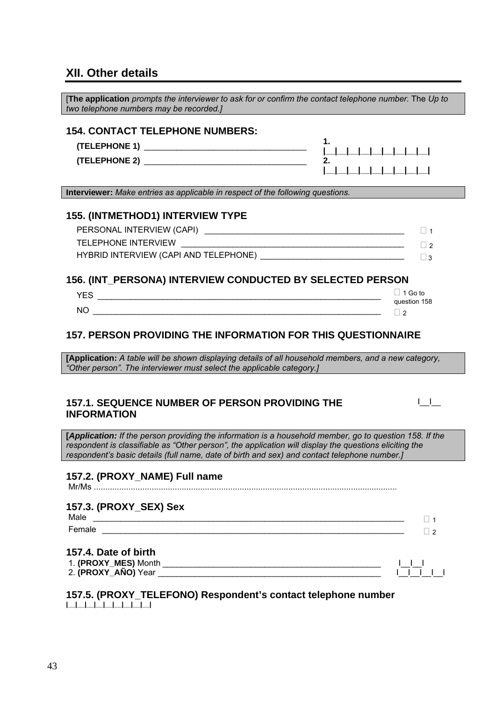### **XII. Other details**

| The application prompts the interviewer to ask for or confirm the contact telephone number. The Up to<br>two telephone numbers may be recorded.]                                                                                                                                                                  |                                            |                                   |
|-------------------------------------------------------------------------------------------------------------------------------------------------------------------------------------------------------------------------------------------------------------------------------------------------------------------|--------------------------------------------|-----------------------------------|
| <b>154. CONTACT TELEPHONE NUMBERS:</b>                                                                                                                                                                                                                                                                            | 1.<br>2.                                   |                                   |
| Interviewer: Make entries as applicable in respect of the following questions.                                                                                                                                                                                                                                    |                                            |                                   |
| 155. (INTMETHOD1) INTERVIEW TYPE                                                                                                                                                                                                                                                                                  |                                            | $\Box$ 1<br>$\vert$ 2<br>$\Box$ 3 |
| 156. (INT_PERSONA) INTERVIEW CONDUCTED BY SELECTED PERSON                                                                                                                                                                                                                                                         |                                            |                                   |
|                                                                                                                                                                                                                                                                                                                   | $\Box$ 1 Go to<br>question 158<br>$\Box$ 2 |                                   |
| <b>157. PERSON PROVIDING THE INFORMATION FOR THIS QUESTIONNAIRE</b>                                                                                                                                                                                                                                               |                                            |                                   |
| [Application: A table will be shown displaying details of all household members, and a new category,<br>"Other person". The interviewer must select the applicable category.]                                                                                                                                     |                                            |                                   |
| <b>157.1. SEQUENCE NUMBER OF PERSON PROVIDING THE</b><br><b>INFORMATION</b>                                                                                                                                                                                                                                       |                                            | $\mathbf{1}$                      |
| [Application: If the person providing the information is a household member, go to question 158. If the<br>respondent is classifiable as "Other person", the application will display the questions eliciting the<br>respondent's basic details (full name, date of birth and sex) and contact telephone number.] |                                            |                                   |
| 157.2. (PROXY_NAME) Full name                                                                                                                                                                                                                                                                                     |                                            |                                   |
| 157.3. (PROXY_SEX) Sex<br>Male                                                                                                                                                                                                                                                                                    |                                            | $\vert$   1<br>$\Box$ 2           |
| 157.4. Date of birth                                                                                                                                                                                                                                                                                              |                                            |                                   |
| 157.5. (PROXY_TELEFONO) Respondent's contact telephone number                                                                                                                                                                                                                                                     |                                            |                                   |

**|\_\_|\_\_|\_\_|\_\_|\_\_|\_\_|\_\_|\_\_|\_\_|**